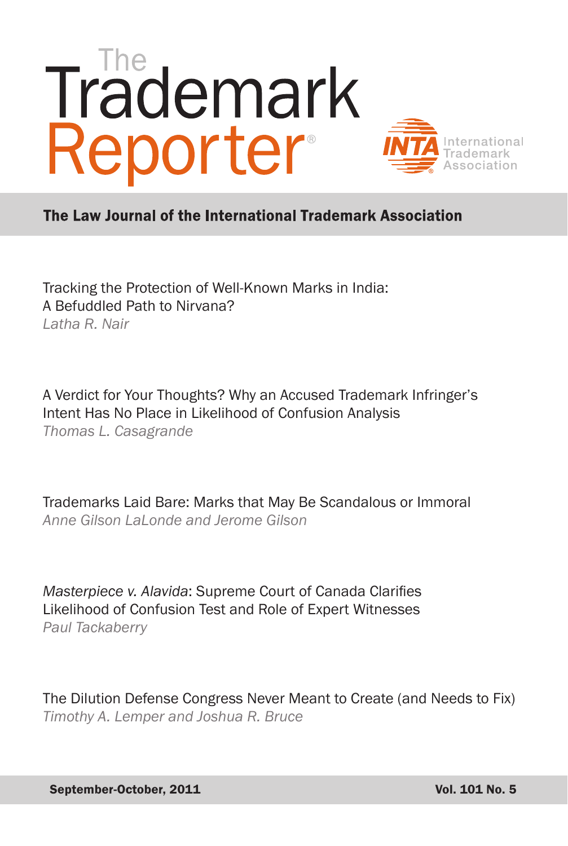# Trademark Reporter International

# The Law Journal of the International Trademark Association

Tracking the Protection of Well-Known Marks in India: A Befuddled Path to Nirvana? *Latha R. Nair* 

A Verdict for Your Thoughts? Why an Accused Trademark Infringer's Intent Has No Place in Likelihood of Confusion Analysis *Thomas L. Casagrande* 

Trademarks Laid Bare: Marks that May Be Scandalous or Immoral *Anne Gilson LaLonde and Jerome Gilson* 

*Masterpiece v. Alavida*: Supreme Court of Canada Clarifies Likelihood of Confusion Test and Role of Expert Witnesses *Paul Tackaberry*

The Dilution Defense Congress Never Meant to Create (and Needs to Fix) *Timothy A. Lemper and Joshua R. Bruce*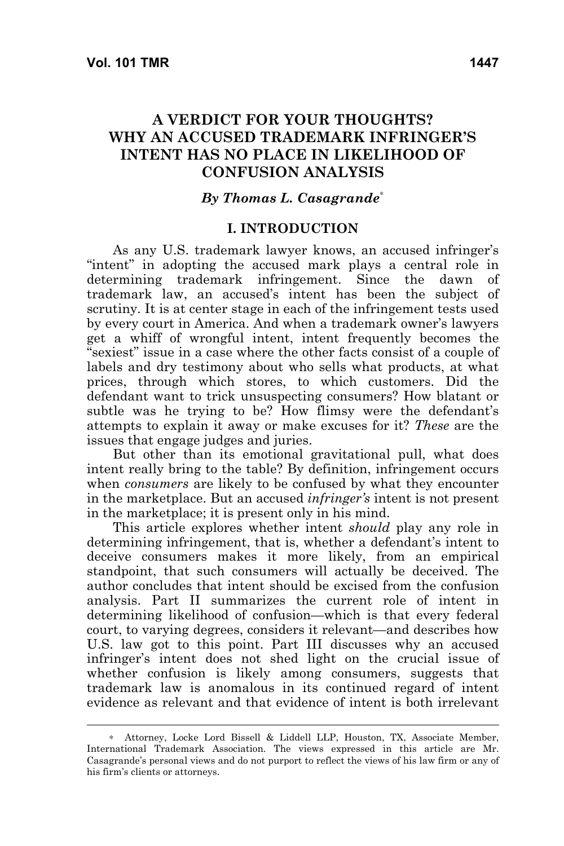# **A VERDICT FOR YOUR THOUGHTS? WHY AN ACCUSED TRADEMARK INFRINGER'S INTENT HAS NO PLACE IN LIKELIHOOD OF CONFUSION ANALYSIS**

#### *By Thomas L. Casagrande*<sup>∗</sup>

#### **I. INTRODUCTION**

As any U.S. trademark lawyer knows, an accused infringer's "intent" in adopting the accused mark plays a central role in determining trademark infringement. Since the dawn of trademark law, an accused's intent has been the subject of scrutiny. It is at center stage in each of the infringement tests used by every court in America. And when a trademark owner's lawyers get a whiff of wrongful intent, intent frequently becomes the "sexiest" issue in a case where the other facts consist of a couple of labels and dry testimony about who sells what products, at what prices, through which stores, to which customers. Did the defendant want to trick unsuspecting consumers? How blatant or subtle was he trying to be? How flimsy were the defendant's attempts to explain it away or make excuses for it? *These* are the issues that engage judges and juries.

But other than its emotional gravitational pull, what does intent really bring to the table? By definition, infringement occurs when *consumers* are likely to be confused by what they encounter in the marketplace. But an accused *infringer's* intent is not present in the marketplace; it is present only in his mind.

This article explores whether intent *should* play any role in determining infringement, that is, whether a defendant's intent to deceive consumers makes it more likely, from an empirical standpoint, that such consumers will actually be deceived. The author concludes that intent should be excised from the confusion analysis. Part II summarizes the current role of intent in determining likelihood of confusion—which is that every federal court, to varying degrees, considers it relevant—and describes how U.S. law got to this point. Part III discusses why an accused infringer's intent does not shed light on the crucial issue of whether confusion is likely among consumers, suggests that trademark law is anomalous in its continued regard of intent evidence as relevant and that evidence of intent is both irrelevant

<sup>∗</sup> Attorney, Locke Lord Bissell & Liddell LLP, Houston, TX, Associate Member, International Trademark Association. The views expressed in this article are Mr. Casagrande's personal views and do not purport to reflect the views of his law firm or any of his firm's clients or attorneys.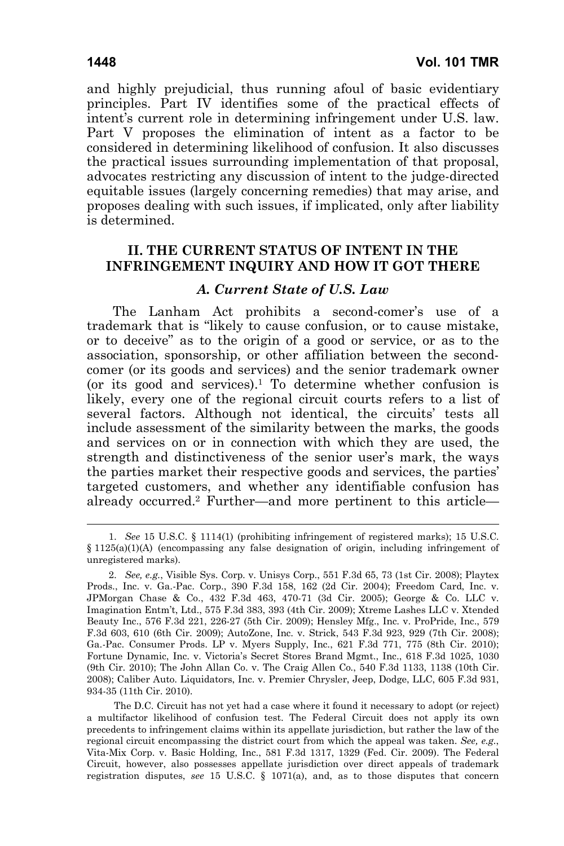and highly prejudicial, thus running afoul of basic evidentiary principles. Part IV identifies some of the practical effects of intent's current role in determining infringement under U.S. law. Part V proposes the elimination of intent as a factor to be considered in determining likelihood of confusion. It also discusses the practical issues surrounding implementation of that proposal, advocates restricting any discussion of intent to the judge-directed equitable issues (largely concerning remedies) that may arise, and proposes dealing with such issues, if implicated, only after liability is determined.

# **II. THE CURRENT STATUS OF INTENT IN THE INFRINGEMENT INQUIRY AND HOW IT GOT THERE**

#### *A. Current State of U.S. Law*

The Lanham Act prohibits a second-comer's use of a trademark that is "likely to cause confusion, or to cause mistake, or to deceive" as to the origin of a good or service, or as to the association, sponsorship, or other affiliation between the secondcomer (or its goods and services) and the senior trademark owner (or its good and services).1 To determine whether confusion is likely, every one of the regional circuit courts refers to a list of several factors. Although not identical, the circuits' tests all include assessment of the similarity between the marks, the goods and services on or in connection with which they are used, the strength and distinctiveness of the senior user's mark, the ways the parties market their respective goods and services, the parties' targeted customers, and whether any identifiable confusion has already occurred.2 Further—and more pertinent to this article—

 <sup>1.</sup> *See* 15 U.S.C. § 1114(1) (prohibiting infringement of registered marks); 15 U.S.C.  $§$  1125(a)(1)(A) (encompassing any false designation of origin, including infringement of unregistered marks).

 <sup>2.</sup> *See, e.g.*, Visible Sys. Corp. v. Unisys Corp., 551 F.3d 65, 73 (1st Cir. 2008); Playtex Prods., Inc. v. Ga.-Pac. Corp., 390 F.3d 158, 162 (2d Cir. 2004); Freedom Card, Inc. v. JPMorgan Chase & Co., 432 F.3d 463, 470-71 (3d Cir. 2005); George & Co. LLC v. Imagination Entm't, Ltd., 575 F.3d 383, 393 (4th Cir. 2009); Xtreme Lashes LLC v. Xtended Beauty Inc., 576 F.3d 221, 226-27 (5th Cir. 2009); Hensley Mfg., Inc. v. ProPride, Inc., 579 F.3d 603, 610 (6th Cir. 2009); AutoZone, Inc. v. Strick, 543 F.3d 923, 929 (7th Cir. 2008); Ga.-Pac. Consumer Prods. LP v. Myers Supply, Inc., 621 F.3d 771, 775 (8th Cir. 2010); Fortune Dynamic, Inc. v. Victoria's Secret Stores Brand Mgmt., Inc., 618 F.3d 1025, 1030 (9th Cir. 2010); The John Allan Co. v. The Craig Allen Co*.*, 540 F.3d 1133, 1138 (10th Cir. 2008); Caliber Auto. Liquidators, Inc. v. Premier Chrysler, Jeep, Dodge, LLC, 605 F.3d 931, 934-35 (11th Cir. 2010).

The D.C. Circuit has not yet had a case where it found it necessary to adopt (or reject) a multifactor likelihood of confusion test. The Federal Circuit does not apply its own precedents to infringement claims within its appellate jurisdiction, but rather the law of the regional circuit encompassing the district court from which the appeal was taken. *See, e.g.*, Vita-Mix Corp. v. Basic Holding, Inc., 581 F.3d 1317, 1329 (Fed. Cir. 2009). The Federal Circuit, however, also possesses appellate jurisdiction over direct appeals of trademark registration disputes, *see* 15 U.S.C. § 1071(a), and, as to those disputes that concern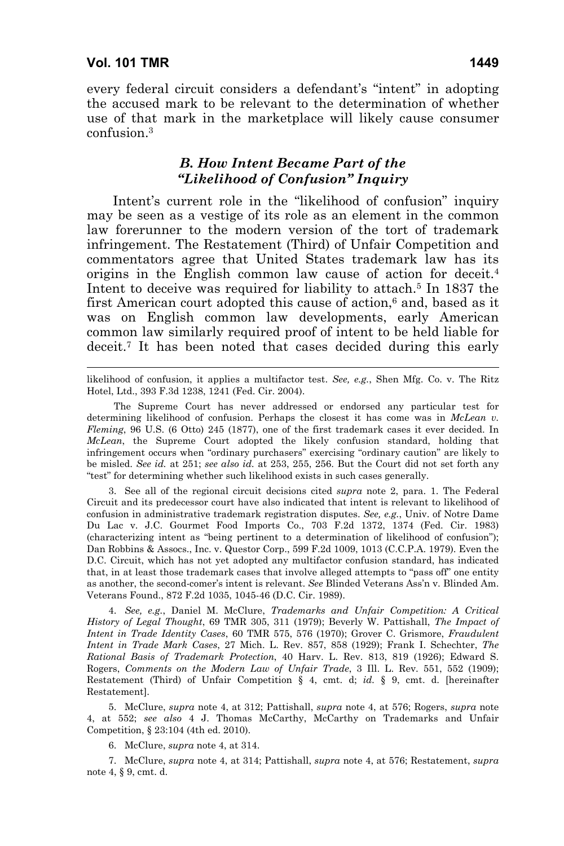$\overline{a}$ 

every federal circuit considers a defendant's "intent" in adopting the accused mark to be relevant to the determination of whether use of that mark in the marketplace will likely cause consumer confusion.3

# *B. How Intent Became Part of the "Likelihood of Confusion" Inquiry*

Intent's current role in the "likelihood of confusion" inquiry may be seen as a vestige of its role as an element in the common law forerunner to the modern version of the tort of trademark infringement. The Restatement (Third) of Unfair Competition and commentators agree that United States trademark law has its origins in the English common law cause of action for deceit.4 Intent to deceive was required for liability to attach.<sup>5</sup> In 1837 the first American court adopted this cause of action,<sup>6</sup> and, based as it was on English common law developments, early American common law similarly required proof of intent to be held liable for deceit.7 It has been noted that cases decided during this early

likelihood of confusion, it applies a multifactor test. *See, e.g.*, Shen Mfg. Co. v. The Ritz Hotel, Ltd., 393 F.3d 1238, 1241 (Fed. Cir. 2004).

The Supreme Court has never addressed or endorsed any particular test for determining likelihood of confusion. Perhaps the closest it has come was in *McLean v. Fleming*, 96 U.S. (6 Otto) 245 (1877), one of the first trademark cases it ever decided. In *McLean*, the Supreme Court adopted the likely confusion standard, holding that infringement occurs when "ordinary purchasers" exercising "ordinary caution" are likely to be misled. *See id.* at 251; *see also id.* at 253, 255, 256. But the Court did not set forth any "test" for determining whether such likelihood exists in such cases generally.

 3. See all of the regional circuit decisions cited *supra* note 2, para. 1. The Federal Circuit and its predecessor court have also indicated that intent is relevant to likelihood of confusion in administrative trademark registration disputes. *See, e.g.*, Univ. of Notre Dame Du Lac v. J.C. Gourmet Food Imports Co., 703 F.2d 1372, 1374 (Fed. Cir. 1983) (characterizing intent as "being pertinent to a determination of likelihood of confusion"); Dan Robbins & Assocs., Inc. v. Questor Corp., 599 F.2d 1009, 1013 (C.C.P.A. 1979). Even the D.C. Circuit, which has not yet adopted any multifactor confusion standard, has indicated that, in at least those trademark cases that involve alleged attempts to "pass off" one entity as another, the second-comer's intent is relevant. *See* Blinded Veterans Ass'n v. Blinded Am. Veterans Found., 872 F.2d 1035, 1045-46 (D.C. Cir. 1989).

 4. *See, e.g.*, Daniel M. McClure, *Trademarks and Unfair Competition: A Critical History of Legal Thought*, 69 TMR 305, 311 (1979); Beverly W. Pattishall, *The Impact of Intent in Trade Identity Cases*, 60 TMR 575, 576 (1970); Grover C. Grismore, *Fraudulent Intent in Trade Mark Cases*, 27 Mich. L. Rev. 857, 858 (1929); Frank I. Schechter, *The Rational Basis of Trademark Protection*, 40 Harv. L. Rev. 813, 819 (1926); Edward S. Rogers, *Comments on the Modern Law of Unfair Trade*, 3 Ill. L. Rev. 551, 552 (1909); Restatement (Third) of Unfair Competition § 4, cmt. d; *id.* § 9, cmt. d. [hereinafter Restatement].

 5. McClure, *supra* note 4, at 312; Pattishall, *supra* note 4, at 576; Rogers, *supra* note 4, at 552; *see also* 4 J. Thomas McCarthy, McCarthy on Trademarks and Unfair Competition, § 23:104 (4th ed. 2010).

6. McClure, *supra* note 4, at 314.

 7. McClure, *supra* note 4, at 314; Pattishall, *supra* note 4, at 576; Restatement, *supra* note 4, § 9, cmt. d.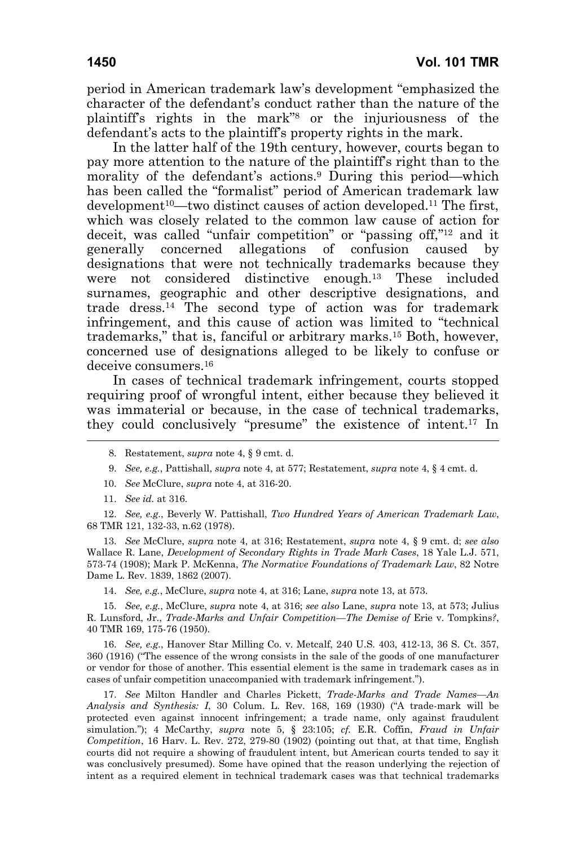period in American trademark law's development "emphasized the character of the defendant's conduct rather than the nature of the plaintiff's rights in the mark"8 or the injuriousness of the defendant's acts to the plaintiff's property rights in the mark.

In the latter half of the 19th century, however, courts began to pay more attention to the nature of the plaintiff's right than to the morality of the defendant's actions.<sup>9</sup> During this period—which has been called the "formalist" period of American trademark law development<sup>10</sup>—two distinct causes of action developed.<sup>11</sup> The first, which was closely related to the common law cause of action for deceit, was called "unfair competition" or "passing off,"12 and it generally concerned allegations of confusion caused by designations that were not technically trademarks because they were not considered distinctive enough.13 These included surnames, geographic and other descriptive designations, and trade dress.14 The second type of action was for trademark infringement, and this cause of action was limited to "technical trademarks," that is, fanciful or arbitrary marks.15 Both, however, concerned use of designations alleged to be likely to confuse or deceive consumers.16

In cases of technical trademark infringement, courts stopped requiring proof of wrongful intent, either because they believed it was immaterial or because, in the case of technical trademarks, they could conclusively "presume" the existence of intent.17 In

- 9. *See, e.g.*, Pattishall, *supra* note 4, at 577; Restatement, *supra* note 4, § 4 cmt. d.
- 10. *See* McClure, *supra* note 4, at 316-20.
- 11. *See id.* at 316.

 12. *See, e.g.*, Beverly W. Pattishall, *Two Hundred Years of American Trademark Law*, 68 TMR 121, 132-33, n.62 (1978).

 13. *See* McClure, *supra* note 4, at 316; Restatement, *supra* note 4, § 9 cmt. d; *see also* Wallace R. Lane, *Development of Secondary Rights in Trade Mark Cases*, 18 Yale L.J. 571, 573-74 (1908); Mark P. McKenna, *The Normative Foundations of Trademark Law*, 82 Notre Dame L. Rev. 1839, 1862 (2007).

14. *See, e.g.*, McClure, *supra* note 4, at 316; Lane, *supra* note 13, at 573.

 15. *See, e.g.*, McClure, *supra* note 4, at 316; *see also* Lane, *supra* note 13, at 573; Julius R. Lunsford, Jr., *Trade-Marks and Unfair Competition—The Demise of* Erie v. Tompkins*?*, 40 TMR 169, 175-76 (1950).

 16. *See, e.g.*, Hanover Star Milling Co. v. Metcalf, 240 U.S. 403, 412-13, 36 S. Ct. 357, 360 (1916) ("The essence of the wrong consists in the sale of the goods of one manufacturer or vendor for those of another. This essential element is the same in trademark cases as in cases of unfair competition unaccompanied with trademark infringement.").

 17. *See* Milton Handler and Charles Pickett, *Trade-Marks and Trade Names—An Analysis and Synthesis: I*, 30 Colum. L. Rev. 168, 169 (1930) ("A trade-mark will be protected even against innocent infringement; a trade name, only against fraudulent simulation."); 4 McCarthy, *supra* note 5, § 23:105; *cf.* E.R. Coffin, *Fraud in Unfair Competition*, 16 Harv. L. Rev. 272, 279-80 (1902) (pointing out that, at that time, English courts did not require a showing of fraudulent intent, but American courts tended to say it was conclusively presumed). Some have opined that the reason underlying the rejection of intent as a required element in technical trademark cases was that technical trademarks

 <sup>8.</sup> Restatement, *supra* note 4, § 9 cmt. d.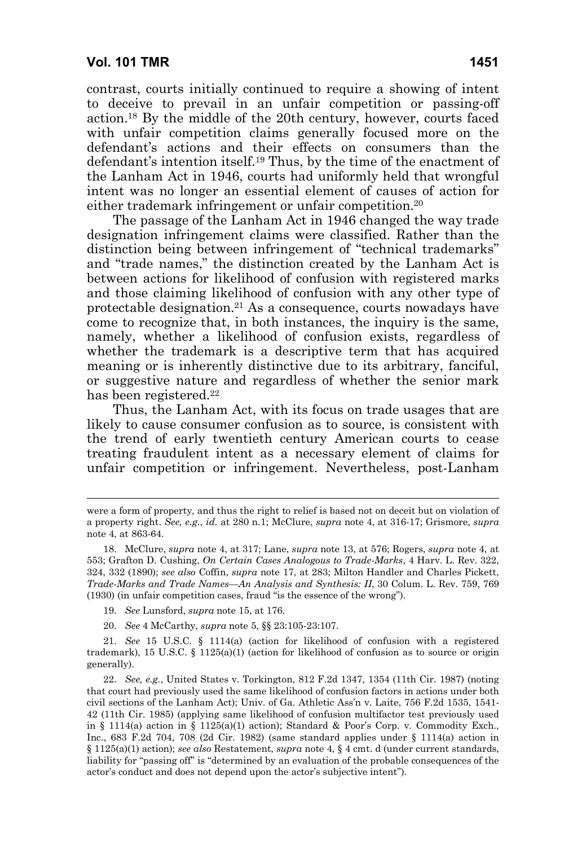contrast, courts initially continued to require a showing of intent to deceive to prevail in an unfair competition or passing-off action.18 By the middle of the 20th century, however, courts faced with unfair competition claims generally focused more on the defendant's actions and their effects on consumers than the defendant's intention itself.19 Thus, by the time of the enactment of the Lanham Act in 1946, courts had uniformly held that wrongful intent was no longer an essential element of causes of action for either trademark infringement or unfair competition.20

The passage of the Lanham Act in 1946 changed the way trade designation infringement claims were classified. Rather than the distinction being between infringement of "technical trademarks" and "trade names," the distinction created by the Lanham Act is between actions for likelihood of confusion with registered marks and those claiming likelihood of confusion with any other type of protectable designation.21 As a consequence, courts nowadays have come to recognize that, in both instances, the inquiry is the same, namely, whether a likelihood of confusion exists, regardless of whether the trademark is a descriptive term that has acquired meaning or is inherently distinctive due to its arbitrary, fanciful, or suggestive nature and regardless of whether the senior mark has been registered.<sup>22</sup>

Thus, the Lanham Act, with its focus on trade usages that are likely to cause consumer confusion as to source, is consistent with the trend of early twentieth century American courts to cease treating fraudulent intent as a necessary element of claims for unfair competition or infringement. Nevertheless, post-Lanham

- 19. *See* Lunsford, *supra* note 15, at 176.
- 20. *See* 4 McCarthy, *supra* note 5, §§ 23:105-23:107.

 21. *See* 15 U.S.C. § 1114(a) (action for likelihood of confusion with a registered trademark), 15 U.S.C. § 1125(a)(1) (action for likelihood of confusion as to source or origin generally).

were a form of property, and thus the right to relief is based not on deceit but on violation of a property right. *See, e.g.*, *id.* at 280 n.1; McClure, *supra* note 4, at 316-17; Grismore, *supra* note 4, at 863-64.

 <sup>18.</sup> McClure, *supra* note 4, at 317; Lane, *supra* note 13, at 576; Rogers, *supra* note 4, at 553; Grafton D. Cushing, *On Certain Cases Analogous to Trade-Marks*, 4 Harv. L. Rev. 322, 324, 332 (1890); *see also* Coffin, *supra* note 17, at 283; Milton Handler and Charles Pickett, *Trade-Marks and Trade Names—An Analysis and Synthesis: II*, 30 Colum. L. Rev. 759, 769 (1930) (in unfair competition cases, fraud "is the essence of the wrong").

 <sup>22.</sup> *See, e.g.*, United States v. Torkington, 812 F.2d 1347, 1354 (11th Cir. 1987) (noting that court had previously used the same likelihood of confusion factors in actions under both civil sections of the Lanham Act); Univ. of Ga. Athletic Ass'n v. Laite, 756 F.2d 1535, 1541- 42 (11th Cir. 1985) (applying same likelihood of confusion multifactor test previously used in § 1114(a) action in § 1125(a)(1) action); Standard & Poor's Corp. v. Commodity Exch., Inc., 683 F.2d 704, 708 (2d Cir. 1982) (same standard applies under § 1114(a) action in § 1125(a)(1) action); *see also* Restatement, *supra* note 4, § 4 cmt. d (under current standards, liability for "passing off" is "determined by an evaluation of the probable consequences of the actor's conduct and does not depend upon the actor's subjective intent").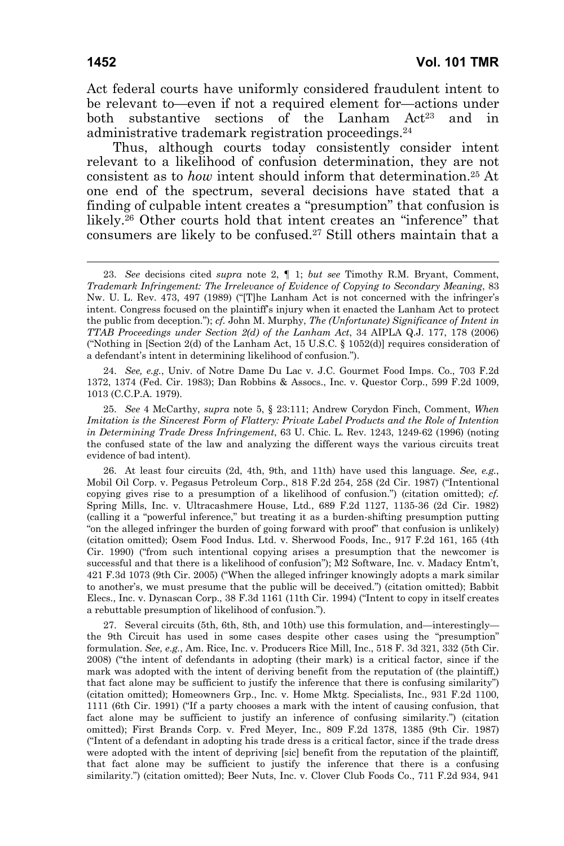Act federal courts have uniformly considered fraudulent intent to be relevant to—even if not a required element for—actions under both substantive sections of the Lanham Act<sup>23</sup> and in administrative trademark registration proceedings.24

Thus, although courts today consistently consider intent relevant to a likelihood of confusion determination, they are not consistent as to *how* intent should inform that determination.25 At one end of the spectrum, several decisions have stated that a finding of culpable intent creates a "presumption" that confusion is likely.26 Other courts hold that intent creates an "inference" that consumers are likely to be confused.27 Still others maintain that a

 24. *See, e.g.*, Univ. of Notre Dame Du Lac v. J.C. Gourmet Food Imps. Co., 703 F.2d 1372, 1374 (Fed. Cir. 1983); Dan Robbins & Assocs., Inc. v. Questor Corp., 599 F.2d 1009, 1013 (C.C.P.A. 1979).

 25. *See* 4 McCarthy, *supra* note 5, § 23:111; Andrew Corydon Finch, Comment, *When Imitation is the Sincerest Form of Flattery: Private Label Products and the Role of Intention in Determining Trade Dress Infringement*, 63 U. Chic. L. Rev. 1243, 1249-62 (1996) (noting the confused state of the law and analyzing the different ways the various circuits treat evidence of bad intent).

 26. At least four circuits (2d, 4th, 9th, and 11th) have used this language. *See, e.g.*, Mobil Oil Corp. v. Pegasus Petroleum Corp., 818 F.2d 254, 258 (2d Cir. 1987) ("Intentional copying gives rise to a presumption of a likelihood of confusion.") (citation omitted); *cf.*  Spring Mills, Inc. v. Ultracashmere House, Ltd., 689 F.2d 1127, 1135-36 (2d Cir. 1982) (calling it a "powerful inference," but treating it as a burden-shifting presumption putting "on the alleged infringer the burden of going forward with proof" that confusion is unlikely) (citation omitted); Osem Food Indus. Ltd. v. Sherwood Foods, Inc., 917 F.2d 161, 165 (4th Cir. 1990) ("from such intentional copying arises a presumption that the newcomer is successful and that there is a likelihood of confusion"); M2 Software, Inc. v. Madacy Entm't, 421 F.3d 1073 (9th Cir. 2005) ("When the alleged infringer knowingly adopts a mark similar to another's, we must presume that the public will be deceived.") (citation omitted); Babbit Elecs., Inc. v. Dynascan Corp., 38 F.3d 1161 (11th Cir. 1994) ("Intent to copy in itself creates a rebuttable presumption of likelihood of confusion.").

 27. Several circuits (5th, 6th, 8th, and 10th) use this formulation, and—interestingly the 9th Circuit has used in some cases despite other cases using the "presumption" formulation. *See, e.g.*, Am. Rice, Inc. v. Producers Rice Mill, Inc., 518 F. 3d 321, 332 (5th Cir. 2008) ("the intent of defendants in adopting (their mark) is a critical factor, since if the mark was adopted with the intent of deriving benefit from the reputation of (the plaintiff,) that fact alone may be sufficient to justify the inference that there is confusing similarity") (citation omitted); Homeowners Grp., Inc. v. Home Mktg. Specialists, Inc., 931 F.2d 1100, 1111 (6th Cir. 1991) ("If a party chooses a mark with the intent of causing confusion, that fact alone may be sufficient to justify an inference of confusing similarity.") (citation omitted); First Brands Corp. v. Fred Meyer, Inc., 809 F.2d 1378, 1385 (9th Cir. 1987) ("Intent of a defendant in adopting his trade dress is a critical factor, since if the trade dress were adopted with the intent of depriving [sic] benefit from the reputation of the plaintiff*,* that fact alone may be sufficient to justify the inference that there is a confusing similarity.") (citation omitted); Beer Nuts, Inc. v. Clover Club Foods Co., 711 F.2d 934, 941

 <sup>23.</sup> *See* decisions cited *supra* note 2, ¶ 1; *but see* Timothy R.M. Bryant, Comment, *Trademark Infringement: The Irrelevance of Evidence of Copying to Secondary Meaning*, 83 Nw. U. L. Rev. 473, 497 (1989) ("[T]he Lanham Act is not concerned with the infringer's intent. Congress focused on the plaintiff's injury when it enacted the Lanham Act to protect the public from deception."); *cf.* John M. Murphy, *The (Unfortunate) Significance of Intent in TTAB Proceedings under Section 2(d) of the Lanham Act*, 34 AIPLA Q.J. 177, 178 (2006) ("Nothing in [Section 2(d) of the Lanham Act, 15 U.S.C. § 1052(d)] requires consideration of a defendant's intent in determining likelihood of confusion.").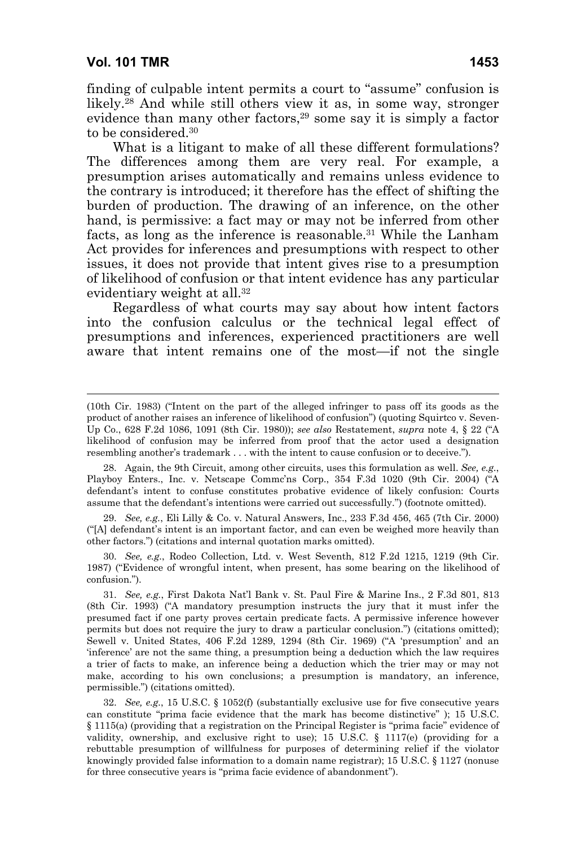$\overline{a}$ 

finding of culpable intent permits a court to "assume" confusion is likely.28 And while still others view it as, in some way, stronger evidence than many other factors,<sup>29</sup> some say it is simply a factor to be considered.30

What is a litigant to make of all these different formulations? The differences among them are very real. For example, a presumption arises automatically and remains unless evidence to the contrary is introduced; it therefore has the effect of shifting the burden of production. The drawing of an inference, on the other hand, is permissive: a fact may or may not be inferred from other facts, as long as the inference is reasonable.31 While the Lanham Act provides for inferences and presumptions with respect to other issues, it does not provide that intent gives rise to a presumption of likelihood of confusion or that intent evidence has any particular evidentiary weight at all.<sup>32</sup>

Regardless of what courts may say about how intent factors into the confusion calculus or the technical legal effect of presumptions and inferences, experienced practitioners are well aware that intent remains one of the most—if not the single

 29. *See, e.g.*, Eli Lilly & Co. v. Natural Answers, Inc., 233 F.3d 456, 465 (7th Cir. 2000) ("[A] defendant's intent is an important factor, and can even be weighed more heavily than other factors.") (citations and internal quotation marks omitted).

 30. *See, e.g.*, Rodeo Collection, Ltd. v. West Seventh, 812 F.2d 1215, 1219 (9th Cir. 1987) ("Evidence of wrongful intent, when present, has some bearing on the likelihood of confusion.").

<sup>(10</sup>th Cir. 1983) ("Intent on the part of the alleged infringer to pass off its goods as the product of another raises an inference of likelihood of confusion") (quoting Squirtco v. Seven-Up Co., 628 F.2d 1086, 1091 (8th Cir. 1980)); *see also* Restatement, *supra* note 4, § 22 ("A likelihood of confusion may be inferred from proof that the actor used a designation resembling another's trademark . . . with the intent to cause confusion or to deceive.").

 <sup>28.</sup> Again, the 9th Circuit, among other circuits, uses this formulation as well. *See, e.g.*, Playboy Enters., Inc. v. Netscape Commc'ns Corp., 354 F.3d 1020 (9th Cir. 2004) ("A defendant's intent to confuse constitutes probative evidence of likely confusion: Courts assume that the defendant's intentions were carried out successfully.") (footnote omitted).

 <sup>31.</sup> *See, e.g.*, First Dakota Nat'l Bank v. St. Paul Fire & Marine Ins., 2 F.3d 801, 813 (8th Cir. 1993) ("A mandatory presumption instructs the jury that it must infer the presumed fact if one party proves certain predicate facts. A permissive inference however permits but does not require the jury to draw a particular conclusion.") (citations omitted); Sewell v. United States, 406 F.2d 1289, 1294 (8th Cir. 1969) ("A 'presumption' and an 'inference' are not the same thing, a presumption being a deduction which the law requires a trier of facts to make, an inference being a deduction which the trier may or may not make, according to his own conclusions; a presumption is mandatory, an inference, permissible.") (citations omitted).

 <sup>32.</sup> *See, e.g.*, 15 U.S.C. § 1052(f) (substantially exclusive use for five consecutive years can constitute "prima facie evidence that the mark has become distinctive" ); 15 U.S.C. § 1115(a) (providing that a registration on the Principal Register is "prima facie" evidence of validity, ownership, and exclusive right to use); 15 U.S.C.  $\S$  1117(e) (providing for a rebuttable presumption of willfulness for purposes of determining relief if the violator knowingly provided false information to a domain name registrar); 15 U.S.C. § 1127 (nonuse for three consecutive years is "prima facie evidence of abandonment").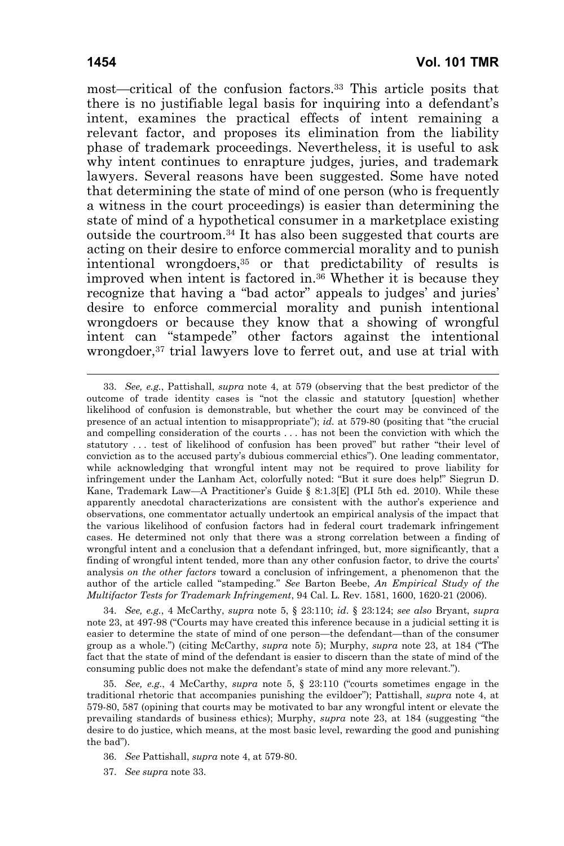most—critical of the confusion factors.33 This article posits that there is no justifiable legal basis for inquiring into a defendant's intent, examines the practical effects of intent remaining a relevant factor, and proposes its elimination from the liability phase of trademark proceedings. Nevertheless, it is useful to ask why intent continues to enrapture judges, juries, and trademark lawyers. Several reasons have been suggested. Some have noted that determining the state of mind of one person (who is frequently a witness in the court proceedings) is easier than determining the state of mind of a hypothetical consumer in a marketplace existing outside the courtroom.34 It has also been suggested that courts are acting on their desire to enforce commercial morality and to punish intentional wrongdoers,35 or that predictability of results is improved when intent is factored in.36 Whether it is because they recognize that having a "bad actor" appeals to judges' and juries' desire to enforce commercial morality and punish intentional wrongdoers or because they know that a showing of wrongful intent can "stampede" other factors against the intentional wrongdoer,<sup>37</sup> trial lawyers love to ferret out, and use at trial with

 34. *See, e.g.*, 4 McCarthy, *supra* note 5, § 23:110; *id*. § 23:124; *see also* Bryant, *supra* note 23, at 497-98 ("Courts may have created this inference because in a judicial setting it is easier to determine the state of mind of one person—the defendant—than of the consumer group as a whole.") (citing McCarthy, *supra* note 5); Murphy, *supra* note 23, at 184 ("The fact that the state of mind of the defendant is easier to discern than the state of mind of the consuming public does not make the defendant's state of mind any more relevant.").

 35. *See, e.g.*, 4 McCarthy, *supra* note 5, § 23:110 ("courts sometimes engage in the traditional rhetoric that accompanies punishing the evildoer"); Pattishall, *supra* note 4, at 579-80, 587 (opining that courts may be motivated to bar any wrongful intent or elevate the prevailing standards of business ethics); Murphy, *supra* note 23, at 184 (suggesting "the desire to do justice, which means, at the most basic level, rewarding the good and punishing the bad").

 <sup>33.</sup> *See, e.g.*, Pattishall, *supra* note 4, at 579 (observing that the best predictor of the outcome of trade identity cases is "not the classic and statutory [question] whether likelihood of confusion is demonstrable, but whether the court may be convinced of the presence of an actual intention to misappropriate"); *id.* at 579-80 (positing that "the crucial and compelling consideration of the courts . . . has not been the conviction with which the statutory . . . test of likelihood of confusion has been proved" but rather "their level of conviction as to the accused party's dubious commercial ethics"). One leading commentator, while acknowledging that wrongful intent may not be required to prove liability for infringement under the Lanham Act, colorfully noted: "But it sure does help!" Siegrun D. Kane, Trademark Law—A Practitioner's Guide § 8:1.3[E] (PLI 5th ed. 2010). While these apparently anecdotal characterizations are consistent with the author's experience and observations, one commentator actually undertook an empirical analysis of the impact that the various likelihood of confusion factors had in federal court trademark infringement cases. He determined not only that there was a strong correlation between a finding of wrongful intent and a conclusion that a defendant infringed, but, more significantly, that a finding of wrongful intent tended, more than any other confusion factor, to drive the courts' analysis *on the other factors* toward a conclusion of infringement, a phenomenon that the author of the article called "stampeding." *See* Barton Beebe, *An Empirical Study of the Multifactor Tests for Trademark Infringement*, 94 Cal. L. Rev. 1581, 1600, 1620-21 (2006).

 <sup>36.</sup> *See* Pattishall, *supra* note 4, at 579-80.

 <sup>37.</sup> *See supra* note 33.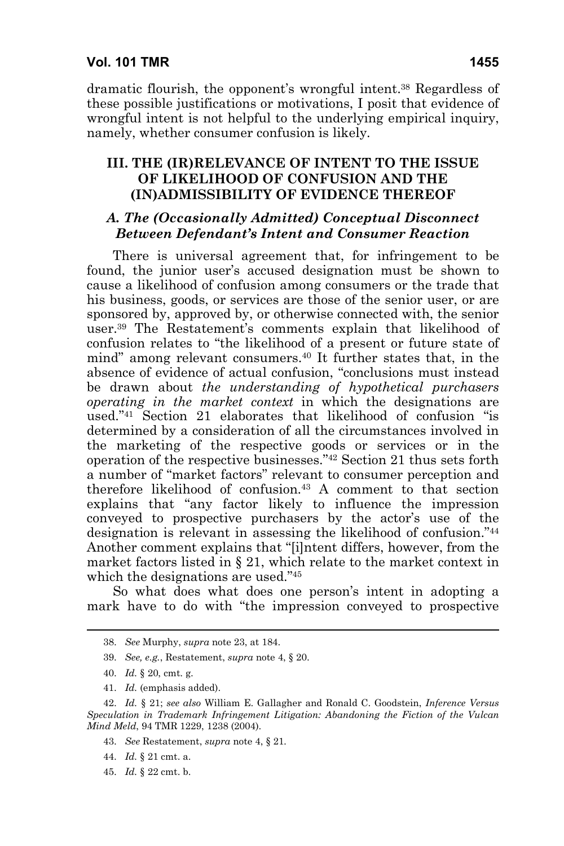dramatic flourish, the opponent's wrongful intent.38 Regardless of these possible justifications or motivations, I posit that evidence of wrongful intent is not helpful to the underlying empirical inquiry, namely, whether consumer confusion is likely.

### **III. THE (IR)RELEVANCE OF INTENT TO THE ISSUE OF LIKELIHOOD OF CONFUSION AND THE (IN)ADMISSIBILITY OF EVIDENCE THEREOF**

# *A. The (Occasionally Admitted) Conceptual Disconnect Between Defendant's Intent and Consumer Reaction*

There is universal agreement that, for infringement to be found, the junior user's accused designation must be shown to cause a likelihood of confusion among consumers or the trade that his business, goods, or services are those of the senior user, or are sponsored by, approved by, or otherwise connected with, the senior user.39 The Restatement's comments explain that likelihood of confusion relates to "the likelihood of a present or future state of mind" among relevant consumers.40 It further states that, in the absence of evidence of actual confusion, "conclusions must instead be drawn about *the understanding of hypothetical purchasers operating in the market context* in which the designations are used."41 Section 21 elaborates that likelihood of confusion "is determined by a consideration of all the circumstances involved in the marketing of the respective goods or services or in the operation of the respective businesses."42 Section 21 thus sets forth a number of "market factors" relevant to consumer perception and therefore likelihood of confusion.43 A comment to that section explains that "any factor likely to influence the impression conveyed to prospective purchasers by the actor's use of the designation is relevant in assessing the likelihood of confusion."44 Another comment explains that "[i]ntent differs, however, from the market factors listed in § 21, which relate to the market context in which the designations are used."45

So what does what does one person's intent in adopting a mark have to do with "the impression conveyed to prospective

- 44. *Id.* § 21 cmt. a.
- 45. *Id.* § 22 cmt. b.

 <sup>38.</sup> *See* Murphy, *supra* note 23, at 184.

 <sup>39.</sup> *See, e.g.*, Restatement, *supra* note 4, § 20.

 <sup>40.</sup> *Id.* § 20, cmt. g.

 <sup>41.</sup> *Id.* (emphasis added).

 <sup>42.</sup> *Id.* § 21; *see also* William E. Gallagher and Ronald C. Goodstein, *Inference Versus Speculation in Trademark Infringement Litigation: Abandoning the Fiction of the Vulcan Mind Meld*, 94 TMR 1229, 1238 (2004).

 <sup>43.</sup> *See* Restatement, *supra* note 4, § 21*.*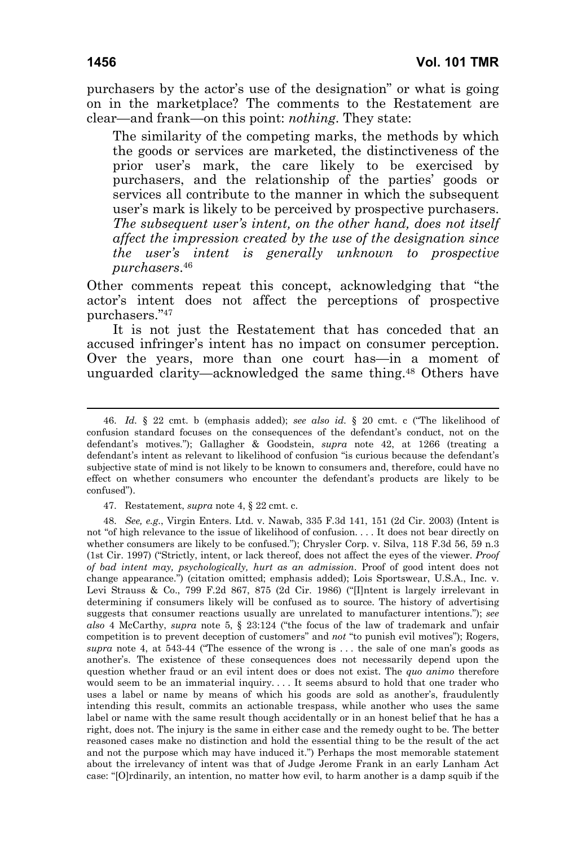purchasers by the actor's use of the designation" or what is going on in the marketplace? The comments to the Restatement are clear—and frank—on this point: *nothing*. They state:

The similarity of the competing marks, the methods by which the goods or services are marketed, the distinctiveness of the prior user's mark, the care likely to be exercised by purchasers, and the relationship of the parties' goods or services all contribute to the manner in which the subsequent user's mark is likely to be perceived by prospective purchasers. *The subsequent user's intent, on the other hand, does not itself affect the impression created by the use of the designation since the user's intent is generally unknown to prospective purchasers*.46

Other comments repeat this concept, acknowledging that "the actor's intent does not affect the perceptions of prospective purchasers."47

It is not just the Restatement that has conceded that an accused infringer's intent has no impact on consumer perception. Over the years, more than one court has—in a moment of unguarded clarity—acknowledged the same thing.48 Others have

 <sup>46.</sup> *Id.* § 22 cmt. b (emphasis added); *see also id.* § 20 cmt. c ("The likelihood of confusion standard focuses on the consequences of the defendant's conduct, not on the defendant's motives."); Gallagher & Goodstein, *supra* note 42, at 1266 (treating a defendant's intent as relevant to likelihood of confusion "is curious because the defendant's subjective state of mind is not likely to be known to consumers and, therefore, could have no effect on whether consumers who encounter the defendant's products are likely to be confused").

 <sup>47.</sup> Restatement, *supra* note 4, § 22 cmt. c.

 <sup>48.</sup> *See, e.g.*, Virgin Enters. Ltd. v. Nawab, 335 F.3d 141, 151 (2d Cir. 2003) (Intent is not "of high relevance to the issue of likelihood of confusion. . . . It does not bear directly on whether consumers are likely to be confused."); Chrysler Corp. v. Silva, 118 F.3d 56, 59 n.3 (1st Cir. 1997) ("Strictly, intent, or lack thereof, does not affect the eyes of the viewer. *Proof of bad intent may, psychologically, hurt as an admission*. Proof of good intent does not change appearance.") (citation omitted; emphasis added); Lois Sportswear, U.S.A., Inc. v. Levi Strauss & Co., 799 F.2d 867, 875 (2d Cir. 1986) ("[I]ntent is largely irrelevant in determining if consumers likely will be confused as to source. The history of advertising suggests that consumer reactions usually are unrelated to manufacturer intentions."); *see also* 4 McCarthy, *supra* note 5, § 23:124 ("the focus of the law of trademark and unfair competition is to prevent deception of customers" and *not* "to punish evil motives"); Rogers, *supra* note 4, at 543-44 ("The essence of the wrong is . . . the sale of one man's goods as another's. The existence of these consequences does not necessarily depend upon the question whether fraud or an evil intent does or does not exist. The *quo animo* therefore would seem to be an immaterial inquiry. . . . It seems absurd to hold that one trader who uses a label or name by means of which his goods are sold as another's, fraudulently intending this result, commits an actionable trespass, while another who uses the same label or name with the same result though accidentally or in an honest belief that he has a right, does not. The injury is the same in either case and the remedy ought to be. The better reasoned cases make no distinction and hold the essential thing to be the result of the act and not the purpose which may have induced it.") Perhaps the most memorable statement about the irrelevancy of intent was that of Judge Jerome Frank in an early Lanham Act case: "[O]rdinarily, an intention, no matter how evil, to harm another is a damp squib if the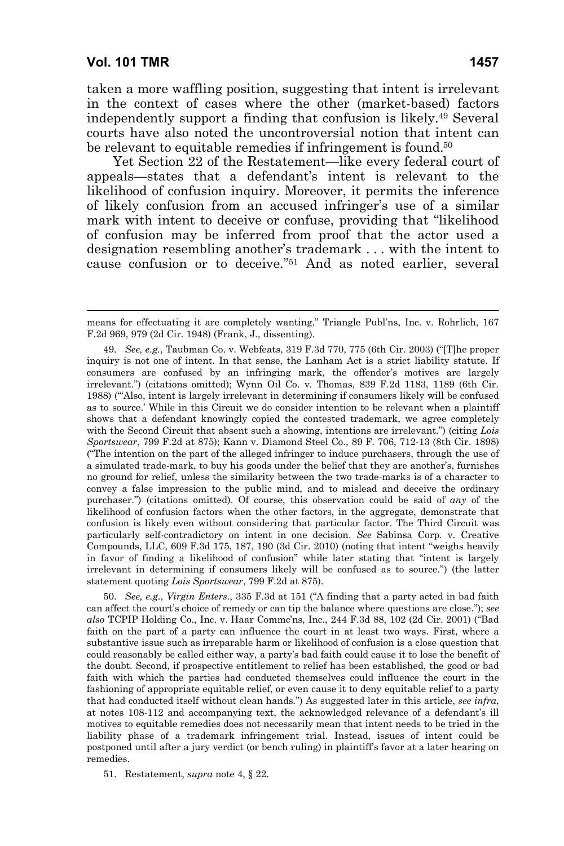-

taken a more waffling position, suggesting that intent is irrelevant in the context of cases where the other (market-based) factors independently support a finding that confusion is likely.49 Several courts have also noted the uncontroversial notion that intent can be relevant to equitable remedies if infringement is found.<sup>50</sup>

Yet Section 22 of the Restatement—like every federal court of appeals—states that a defendant's intent is relevant to the likelihood of confusion inquiry. Moreover, it permits the inference of likely confusion from an accused infringer's use of a similar mark with intent to deceive or confuse, providing that "likelihood of confusion may be inferred from proof that the actor used a designation resembling another's trademark . . . with the intent to cause confusion or to deceive."51 And as noted earlier, several

 49. *See, e.g.*, Taubman Co. v. Webfeats, 319 F.3d 770, 775 (6th Cir. 2003) ("[T]he proper inquiry is not one of intent. In that sense, the Lanham Act is a strict liability statute. If consumers are confused by an infringing mark, the offender's motives are largely irrelevant.") (citations omitted); Wynn Oil Co. v. Thomas, 839 F.2d 1183, 1189 (6th Cir. 1988) ("'Also, intent is largely irrelevant in determining if consumers likely will be confused as to source.' While in this Circuit we do consider intention to be relevant when a plaintiff shows that a defendant knowingly copied the contested trademark, we agree completely with the Second Circuit that absent such a showing, intentions are irrelevant.") (citing *Lois Sportswear*, 799 F.2d at 875); Kann v. Diamond Steel Co., 89 F. 706, 712-13 (8th Cir. 1898) ("The intention on the part of the alleged infringer to induce purchasers, through the use of a simulated trade-mark, to buy his goods under the belief that they are another's, furnishes no ground for relief, unless the similarity between the two trade-marks is of a character to convey a false impression to the public mind, and to mislead and deceive the ordinary purchaser.") (citations omitted). Of course, this observation could be said of *any* of the likelihood of confusion factors when the other factors, in the aggregate, demonstrate that confusion is likely even without considering that particular factor. The Third Circuit was particularly self-contradictory on intent in one decision. *See* Sabinsa Corp. v. Creative Compounds, LLC, 609 F.3d 175, 187, 190 (3d Cir. 2010) (noting that intent "weighs heavily in favor of finding a likelihood of confusion" while later stating that "intent is largely irrelevant in determining if consumers likely will be confused as to source.") (the latter statement quoting *Lois Sportswear*, 799 F.2d at 875).

 50. *See, e.g.*, *Virgin Enters.*, 335 F.3d at 151 ("A finding that a party acted in bad faith can affect the court's choice of remedy or can tip the balance where questions are close."); *see also* TCPIP Holding Co., Inc. v. Haar Commc'ns, Inc., 244 F.3d 88, 102 (2d Cir. 2001) ("Bad faith on the part of a party can influence the court in at least two ways. First, where a substantive issue such as irreparable harm or likelihood of confusion is a close question that could reasonably be called either way, a party's bad faith could cause it to lose the benefit of the doubt. Second, if prospective entitlement to relief has been established, the good or bad faith with which the parties had conducted themselves could influence the court in the fashioning of appropriate equitable relief, or even cause it to deny equitable relief to a party that had conducted itself without clean hands.") As suggested later in this article, *see infra*, at notes 108-112 and accompanying text, the acknowledged relevance of a defendant's ill motives to equitable remedies does not necessarily mean that intent needs to be tried in the liability phase of a trademark infringement trial. Instead, issues of intent could be postponed until after a jury verdict (or bench ruling) in plaintiff's favor at a later hearing on remedies.

51. Restatement, *supra* note 4, § 22.

means for effectuating it are completely wanting." Triangle Publ'ns, Inc. v. Rohrlich, 167 F.2d 969, 979 (2d Cir. 1948) (Frank, J., dissenting).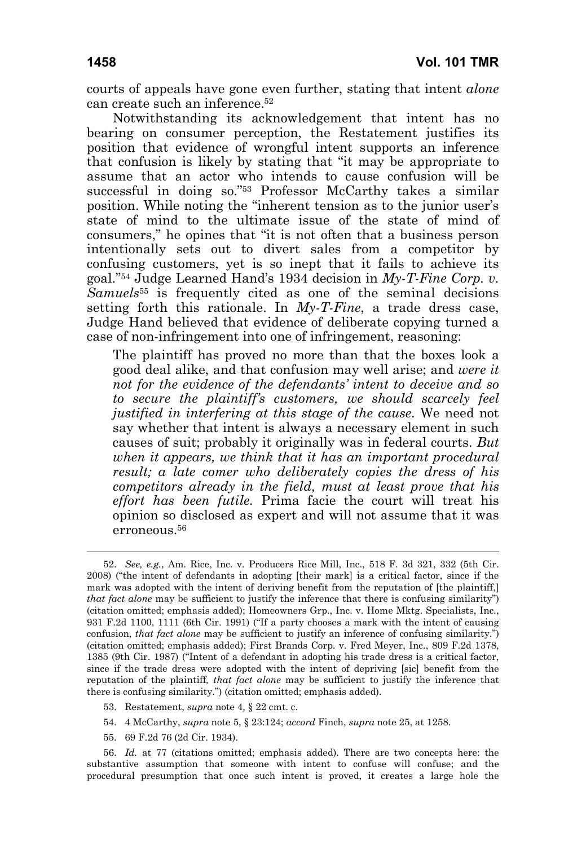courts of appeals have gone even further, stating that intent *alone* can create such an inference.52

Notwithstanding its acknowledgement that intent has no bearing on consumer perception, the Restatement justifies its position that evidence of wrongful intent supports an inference that confusion is likely by stating that "it may be appropriate to assume that an actor who intends to cause confusion will be successful in doing so."53 Professor McCarthy takes a similar position. While noting the "inherent tension as to the junior user's state of mind to the ultimate issue of the state of mind of consumers," he opines that "it is not often that a business person intentionally sets out to divert sales from a competitor by confusing customers, yet is so inept that it fails to achieve its goal."54 Judge Learned Hand's 1934 decision in *My-T-Fine Corp. v. Samuels*55 is frequently cited as one of the seminal decisions setting forth this rationale. In *My-T-Fine*, a trade dress case, Judge Hand believed that evidence of deliberate copying turned a case of non-infringement into one of infringement, reasoning:

The plaintiff has proved no more than that the boxes look a good deal alike, and that confusion may well arise; and *were it not for the evidence of the defendants' intent to deceive and so to secure the plaintiff's customers, we should scarcely feel justified in interfering at this stage of the cause*. We need not say whether that intent is always a necessary element in such causes of suit; probably it originally was in federal courts. *But when it appears, we think that it has an important procedural result; a late comer who deliberately copies the dress of his competitors already in the field, must at least prove that his effort has been futile.* Prima facie the court will treat his opinion so disclosed as expert and will not assume that it was erroneous.<sup>56</sup>

- 54. 4 McCarthy, *supra* note 5, § 23:124; *accord* Finch, *supra* note 25, at 1258.
- 55. 69 F.2d 76 (2d Cir. 1934).

 56. *Id.* at 77 (citations omitted; emphasis added). There are two concepts here: the substantive assumption that someone with intent to confuse will confuse; and the procedural presumption that once such intent is proved, it creates a large hole the

 <sup>52.</sup> *See, e.g.*, Am. Rice, Inc. v. Producers Rice Mill, Inc., 518 F. 3d 321, 332 (5th Cir. 2008) ("the intent of defendants in adopting [their mark] is a critical factor, since if the mark was adopted with the intent of deriving benefit from the reputation of [the plaintiff,] *that fact alone* may be sufficient to justify the inference that there is confusing similarity") (citation omitted; emphasis added); Homeowners Grp., Inc. v. Home Mktg. Specialists, Inc., 931 F.2d 1100, 1111 (6th Cir. 1991) ("If a party chooses a mark with the intent of causing confusion, *that fact alone* may be sufficient to justify an inference of confusing similarity.") (citation omitted; emphasis added); First Brands Corp. v. Fred Meyer, Inc., 809 F.2d 1378, 1385 (9th Cir. 1987) ("Intent of a defendant in adopting his trade dress is a critical factor, since if the trade dress were adopted with the intent of depriving [sic] benefit from the reputation of the plaintiff*, that fact alone* may be sufficient to justify the inference that there is confusing similarity.") (citation omitted; emphasis added).

 <sup>53.</sup> Restatement, *supra* note 4, § 22 cmt. c.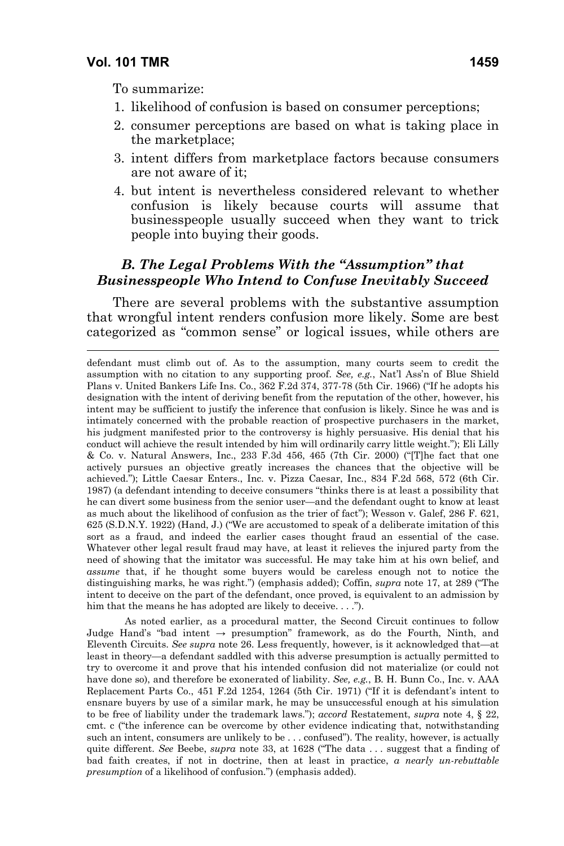$\overline{a}$ 

To summarize:

- 1. likelihood of confusion is based on consumer perceptions;
- 2. consumer perceptions are based on what is taking place in the marketplace;
- 3. intent differs from marketplace factors because consumers are not aware of it;
- 4. but intent is nevertheless considered relevant to whether confusion is likely because courts will assume that businesspeople usually succeed when they want to trick people into buying their goods.

# *B. The Legal Problems With the "Assumption" that Businesspeople Who Intend to Confuse Inevitably Succeed*

There are several problems with the substantive assumption that wrongful intent renders confusion more likely. Some are best categorized as "common sense" or logical issues, while others are

defendant must climb out of. As to the assumption, many courts seem to credit the assumption with no citation to any supporting proof. *See, e.g.*, Nat'l Ass'n of Blue Shield Plans v. United Bankers Life Ins. Co*.*, 362 F.2d 374, 377-78 (5th Cir. 1966) ("If he adopts his designation with the intent of deriving benefit from the reputation of the other, however, his intent may be sufficient to justify the inference that confusion is likely. Since he was and is intimately concerned with the probable reaction of prospective purchasers in the market, his judgment manifested prior to the controversy is highly persuasive. His denial that his conduct will achieve the result intended by him will ordinarily carry little weight."); Eli Lilly & Co. v. Natural Answers, Inc., 233 F.3d 456, 465 (7th Cir. 2000) ("[T]he fact that one actively pursues an objective greatly increases the chances that the objective will be achieved."); Little Caesar Enters., Inc. v. Pizza Caesar, Inc., 834 F.2d 568, 572 (6th Cir. 1987) (a defendant intending to deceive consumers "thinks there is at least a possibility that he can divert some business from the senior user—and the defendant ought to know at least as much about the likelihood of confusion as the trier of fact"); Wesson v. Galef, 286 F. 621, 625 (S.D.N.Y. 1922) (Hand, J.) ("We are accustomed to speak of a deliberate imitation of this sort as a fraud, and indeed the earlier cases thought fraud an essential of the case. Whatever other legal result fraud may have, at least it relieves the injured party from the need of showing that the imitator was successful. He may take him at his own belief, and *assume* that, if he thought some buyers would be careless enough not to notice the distinguishing marks, he was right.") (emphasis added); Coffin, *supra* note 17, at 289 ("The intent to deceive on the part of the defendant, once proved, is equivalent to an admission by him that the means he has adopted are likely to deceive. . . .").

 As noted earlier, as a procedural matter, the Second Circuit continues to follow Judge Hand's "bad intent → presumption" framework, as do the Fourth, Ninth, and Eleventh Circuits. *See supra* note 26. Less frequently, however, is it acknowledged that—at least in theory—a defendant saddled with this adverse presumption is actually permitted to try to overcome it and prove that his intended confusion did not materialize (or could not have done so), and therefore be exonerated of liability. *See, e.g.*, B. H. Bunn Co., Inc. v. AAA Replacement Parts Co., 451 F.2d 1254, 1264 (5th Cir. 1971) ("If it is defendant's intent to ensnare buyers by use of a similar mark, he may be unsuccessful enough at his simulation to be free of liability under the trademark laws."); *accord* Restatement, *supra* note 4, § 22, cmt. c ("the inference can be overcome by other evidence indicating that, notwithstanding such an intent, consumers are unlikely to be . . . confused"). The reality, however, is actually quite different. *See* Beebe, *supra* note 33, at 1628 ("The data . . . suggest that a finding of bad faith creates, if not in doctrine, then at least in practice, *a nearly un-rebuttable presumption* of a likelihood of confusion.") (emphasis added).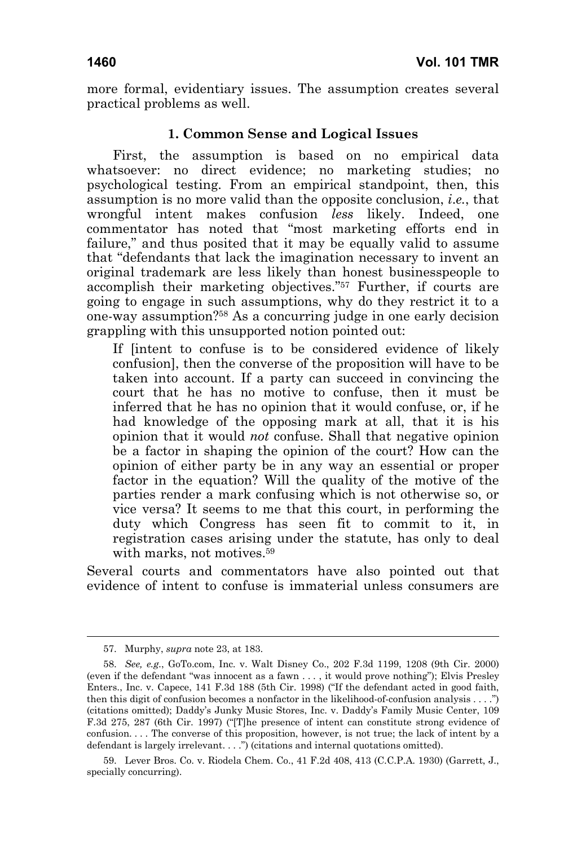more formal, evidentiary issues. The assumption creates several practical problems as well.

## **1. Common Sense and Logical Issues**

First, the assumption is based on no empirical data whatsoever: no direct evidence; no marketing studies; no psychological testing. From an empirical standpoint, then, this assumption is no more valid than the opposite conclusion, *i*.*e.*, that wrongful intent makes confusion *less* likely. Indeed, one commentator has noted that "most marketing efforts end in failure," and thus posited that it may be equally valid to assume that "defendants that lack the imagination necessary to invent an original trademark are less likely than honest businesspeople to accomplish their marketing objectives."57 Further, if courts are going to engage in such assumptions, why do they restrict it to a one-way assumption?58 As a concurring judge in one early decision grappling with this unsupported notion pointed out:

If [intent to confuse is to be considered evidence of likely confusion], then the converse of the proposition will have to be taken into account. If a party can succeed in convincing the court that he has no motive to confuse, then it must be inferred that he has no opinion that it would confuse, or, if he had knowledge of the opposing mark at all, that it is his opinion that it would *not* confuse. Shall that negative opinion be a factor in shaping the opinion of the court? How can the opinion of either party be in any way an essential or proper factor in the equation? Will the quality of the motive of the parties render a mark confusing which is not otherwise so, or vice versa? It seems to me that this court, in performing the duty which Congress has seen fit to commit to it, in registration cases arising under the statute, has only to deal with marks, not motives.<sup>59</sup>

Several courts and commentators have also pointed out that evidence of intent to confuse is immaterial unless consumers are

 <sup>57.</sup> Murphy, *supra* note 23, at 183.

 <sup>58.</sup> *See, e.g.*, GoTo.com, Inc. v. Walt Disney Co., 202 F.3d 1199, 1208 (9th Cir. 2000) (even if the defendant "was innocent as a fawn . . . , it would prove nothing"); Elvis Presley Enters., Inc. v. Capece, 141 F.3d 188 (5th Cir. 1998) ("If the defendant acted in good faith, then this digit of confusion becomes a nonfactor in the likelihood-of-confusion analysis . . . .") (citations omitted); Daddy's Junky Music Stores, Inc. v. Daddy's Family Music Center, 109 F.3d 275, 287 (6th Cir. 1997) ("[T]he presence of intent can constitute strong evidence of confusion. . . . The converse of this proposition, however, is not true; the lack of intent by a defendant is largely irrelevant. . . .") (citations and internal quotations omitted).

 <sup>59.</sup> Lever Bros. Co. v. Riodela Chem. Co., 41 F.2d 408, 413 (C.C.P.A. 1930) (Garrett, J., specially concurring).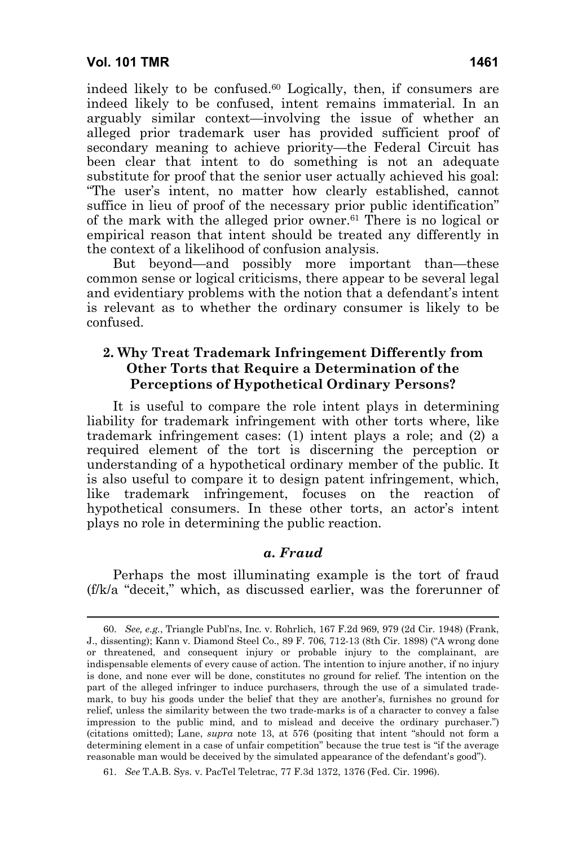indeed likely to be confused.60 Logically, then, if consumers are indeed likely to be confused, intent remains immaterial. In an arguably similar context—involving the issue of whether an alleged prior trademark user has provided sufficient proof of secondary meaning to achieve priority—the Federal Circuit has been clear that intent to do something is not an adequate substitute for proof that the senior user actually achieved his goal: "The user's intent, no matter how clearly established, cannot suffice in lieu of proof of the necessary prior public identification" of the mark with the alleged prior owner.61 There is no logical or empirical reason that intent should be treated any differently in the context of a likelihood of confusion analysis.

But beyond—and possibly more important than—these common sense or logical criticisms, there appear to be several legal and evidentiary problems with the notion that a defendant's intent is relevant as to whether the ordinary consumer is likely to be confused.

#### **2. Why Treat Trademark Infringement Differently from Other Torts that Require a Determination of the Perceptions of Hypothetical Ordinary Persons?**

It is useful to compare the role intent plays in determining liability for trademark infringement with other torts where, like trademark infringement cases: (1) intent plays a role; and (2) a required element of the tort is discerning the perception or understanding of a hypothetical ordinary member of the public. It is also useful to compare it to design patent infringement, which, like trademark infringement, focuses on the reaction of hypothetical consumers. In these other torts, an actor's intent plays no role in determining the public reaction.

#### *a. Fraud*

Perhaps the most illuminating example is the tort of fraud (f/k/a "deceit," which, as discussed earlier, was the forerunner of

 <sup>60.</sup> *See, e.g.*, Triangle Publ'ns, Inc. v. Rohrlich, 167 F.2d 969, 979 (2d Cir. 1948) (Frank, J., dissenting); Kann v. Diamond Steel Co., 89 F. 706, 712-13 (8th Cir. 1898) ("A wrong done or threatened, and consequent injury or probable injury to the complainant, are indispensable elements of every cause of action. The intention to injure another, if no injury is done, and none ever will be done, constitutes no ground for relief. The intention on the part of the alleged infringer to induce purchasers, through the use of a simulated trademark, to buy his goods under the belief that they are another's, furnishes no ground for relief, unless the similarity between the two trade-marks is of a character to convey a false impression to the public mind, and to mislead and deceive the ordinary purchaser.") (citations omitted); Lane, *supra* note 13, at 576 (positing that intent "should not form a determining element in a case of unfair competition" because the true test is "if the average reasonable man would be deceived by the simulated appearance of the defendant's good").

 <sup>61.</sup> *See* T.A.B. Sys. v. PacTel Teletrac, 77 F.3d 1372, 1376 (Fed. Cir. 1996).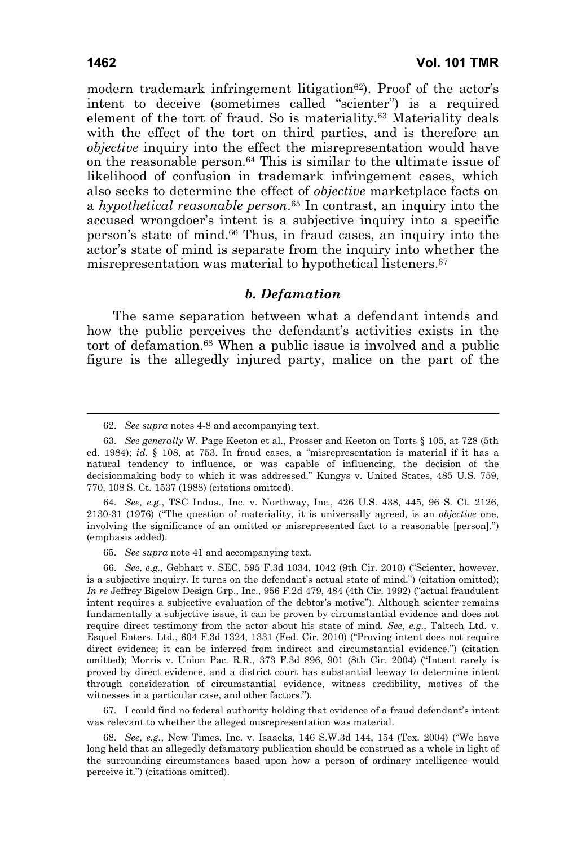modern trademark infringement litigation<sup>62</sup>). Proof of the actor's intent to deceive (sometimes called "scienter") is a required element of the tort of fraud. So is materiality.63 Materiality deals with the effect of the tort on third parties, and is therefore an *objective* inquiry into the effect the misrepresentation would have on the reasonable person.64 This is similar to the ultimate issue of likelihood of confusion in trademark infringement cases, which also seeks to determine the effect of *objective* marketplace facts on a *hypothetical reasonable person*.65 In contrast, an inquiry into the accused wrongdoer's intent is a subjective inquiry into a specific person's state of mind.66 Thus, in fraud cases, an inquiry into the actor's state of mind is separate from the inquiry into whether the misrepresentation was material to hypothetical listeners.67

#### *b. Defamation*

The same separation between what a defendant intends and how the public perceives the defendant's activities exists in the tort of defamation.68 When a public issue is involved and a public figure is the allegedly injured party, malice on the part of the

 <sup>62.</sup> *See supra* notes 4-8 and accompanying text.

 <sup>63.</sup> *See generally* W. Page Keeton et al., Prosser and Keeton on Torts § 105, at 728 (5th ed. 1984); *id.* § 108, at 753. In fraud cases, a "misrepresentation is material if it has a natural tendency to influence, or was capable of influencing, the decision of the decisionmaking body to which it was addressed." Kungys v. United States, 485 U.S. 759, 770, 108 S. Ct. 1537 (1988) (citations omitted).

 <sup>64.</sup> *See, e.g.*, TSC Indus., Inc. v. Northway, Inc., 426 U.S. 438, 445, 96 S. Ct. 2126, 2130-31 (1976) ("The question of materiality, it is universally agreed, is an *objective* one, involving the significance of an omitted or misrepresented fact to a reasonable [person].") (emphasis added).

 <sup>65.</sup> *See supra* note 41 and accompanying text.

 <sup>66.</sup> *See, e.g.*, Gebhart v. SEC, 595 F.3d 1034, 1042 (9th Cir. 2010) ("Scienter, however, is a subjective inquiry. It turns on the defendant's actual state of mind.") (citation omitted); *In re* Jeffrey Bigelow Design Grp., Inc., 956 F.2d 479, 484 (4th Cir. 1992) ("actual fraudulent intent requires a subjective evaluation of the debtor's motive"). Although scienter remains fundamentally a subjective issue, it can be proven by circumstantial evidence and does not require direct testimony from the actor about his state of mind. *See*, *e.g*., Taltech Ltd. v. Esquel Enters. Ltd., 604 F.3d 1324, 1331 (Fed. Cir. 2010) ("Proving intent does not require direct evidence; it can be inferred from indirect and circumstantial evidence.") (citation omitted); Morris v. Union Pac. R.R., 373 F.3d 896, 901 (8th Cir. 2004) ("Intent rarely is proved by direct evidence, and a district court has substantial leeway to determine intent through consideration of circumstantial evidence, witness credibility, motives of the witnesses in a particular case, and other factors.").

 <sup>67.</sup> I could find no federal authority holding that evidence of a fraud defendant's intent was relevant to whether the alleged misrepresentation was material.

 <sup>68.</sup> *See, e.g.*, New Times, Inc. v. Isaacks, 146 S.W.3d 144, 154 (Tex. 2004) ("We have long held that an allegedly defamatory publication should be construed as a whole in light of the surrounding circumstances based upon how a person of ordinary intelligence would perceive it.") (citations omitted).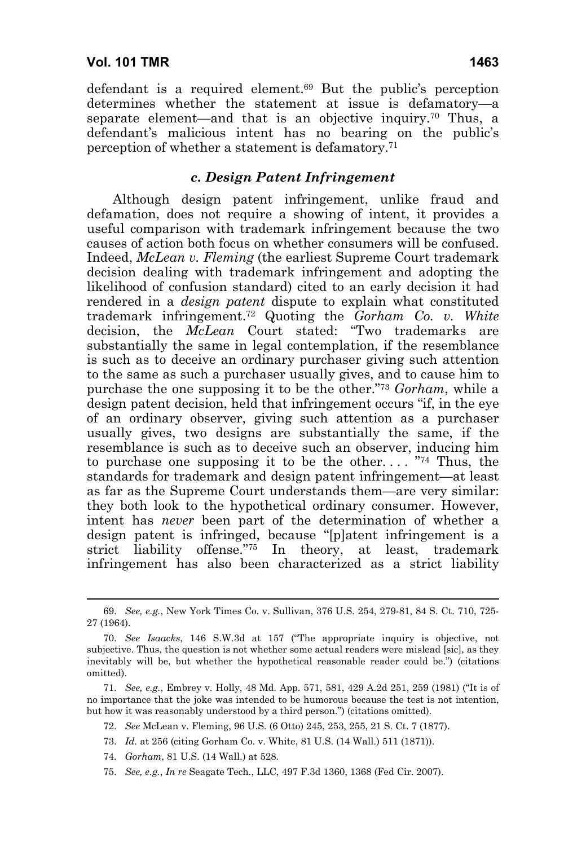defendant is a required element.69 But the public's perception determines whether the statement at issue is defamatory—a separate element—and that is an objective inquiry.<sup>70</sup> Thus, a defendant's malicious intent has no bearing on the public's perception of whether a statement is defamatory.71

#### *c. Design Patent Infringement*

Although design patent infringement, unlike fraud and defamation, does not require a showing of intent, it provides a useful comparison with trademark infringement because the two causes of action both focus on whether consumers will be confused. Indeed, *McLean v. Fleming* (the earliest Supreme Court trademark decision dealing with trademark infringement and adopting the likelihood of confusion standard) cited to an early decision it had rendered in a *design patent* dispute to explain what constituted trademark infringement.72 Quoting the *Gorham Co. v. White* decision, the *McLean* Court stated: "Two trademarks are substantially the same in legal contemplation, if the resemblance is such as to deceive an ordinary purchaser giving such attention to the same as such a purchaser usually gives, and to cause him to purchase the one supposing it to be the other."73 *Gorham*, while a design patent decision, held that infringement occurs "if, in the eye of an ordinary observer, giving such attention as a purchaser usually gives, two designs are substantially the same, if the resemblance is such as to deceive such an observer, inducing him to purchase one supposing it to be the other.... "<sup>74</sup> Thus, the standards for trademark and design patent infringement—at least as far as the Supreme Court understands them—are very similar: they both look to the hypothetical ordinary consumer. However, intent has *never* been part of the determination of whether a design patent is infringed, because "[p]atent infringement is a strict liability offense."75 In theory, at least, trademark infringement has also been characterized as a strict liability

74. *Gorham*, 81 U.S. (14 Wall.) at 528.

75. *See, e.g.*, *In re* Seagate Tech., LLC, 497 F.3d 1360, 1368 (Fed Cir. 2007).

 <sup>69.</sup> *See, e.g.*, New York Times Co. v. Sullivan, 376 U.S. 254, 279-81, 84 S. Ct. 710, 725- 27 (1964).

 <sup>70.</sup> *See Isaacks*, 146 S.W.3d at 157 ("The appropriate inquiry is objective, not subjective. Thus, the question is not whether some actual readers were mislead [sic], as they inevitably will be, but whether the hypothetical reasonable reader could be.") (citations omitted).

 <sup>71.</sup> *See, e.g.*, Embrey v. Holly, 48 Md. App. 571, 581, 429 A.2d 251, 259 (1981) ("It is of no importance that the joke was intended to be humorous because the test is not intention, but how it was reasonably understood by a third person.") (citations omitted).

 <sup>72.</sup> *See* McLean v. Fleming, 96 U.S. (6 Otto) 245, 253, 255, 21 S. Ct. 7 (1877).

 <sup>73.</sup> *Id.* at 256 (citing Gorham Co. v. White, 81 U.S. (14 Wall.) 511 (1871)).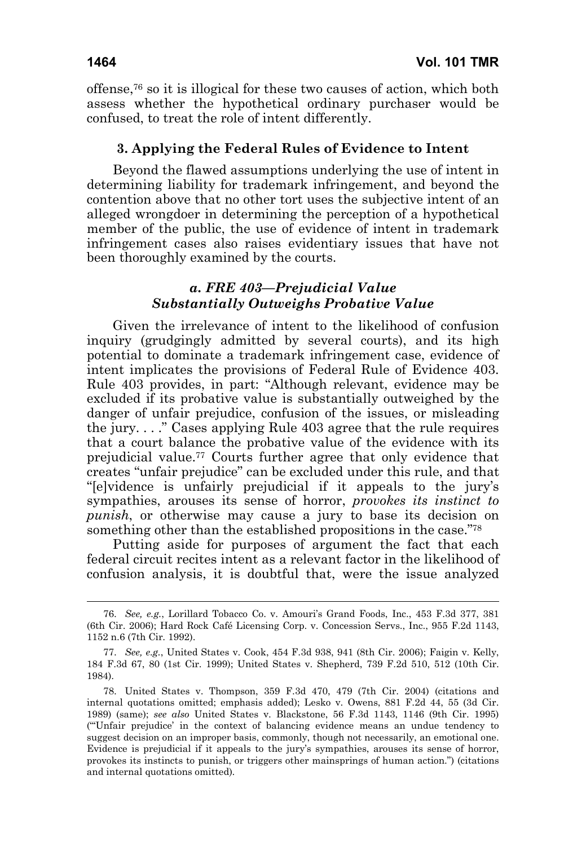offense,76 so it is illogical for these two causes of action, which both assess whether the hypothetical ordinary purchaser would be confused, to treat the role of intent differently.

#### **3. Applying the Federal Rules of Evidence to Intent**

Beyond the flawed assumptions underlying the use of intent in determining liability for trademark infringement, and beyond the contention above that no other tort uses the subjective intent of an alleged wrongdoer in determining the perception of a hypothetical member of the public, the use of evidence of intent in trademark infringement cases also raises evidentiary issues that have not been thoroughly examined by the courts.

#### *a. FRE 403—Prejudicial Value Substantially Outweighs Probative Value*

Given the irrelevance of intent to the likelihood of confusion inquiry (grudgingly admitted by several courts), and its high potential to dominate a trademark infringement case, evidence of intent implicates the provisions of Federal Rule of Evidence 403. Rule 403 provides, in part: "Although relevant, evidence may be excluded if its probative value is substantially outweighed by the danger of unfair prejudice, confusion of the issues, or misleading the jury. . . ." Cases applying Rule 403 agree that the rule requires that a court balance the probative value of the evidence with its prejudicial value.77 Courts further agree that only evidence that creates "unfair prejudice" can be excluded under this rule, and that "[e]vidence is unfairly prejudicial if it appeals to the jury's sympathies, arouses its sense of horror, *provokes its instinct to punish*, or otherwise may cause a jury to base its decision on something other than the established propositions in the case."78

Putting aside for purposes of argument the fact that each federal circuit recites intent as a relevant factor in the likelihood of confusion analysis, it is doubtful that, were the issue analyzed

 <sup>76.</sup> *See, e.g.*, Lorillard Tobacco Co. v. Amouri's Grand Foods, Inc., 453 F.3d 377, 381 (6th Cir. 2006); Hard Rock Café Licensing Corp. v. Concession Servs., Inc., 955 F.2d 1143, 1152 n.6 (7th Cir. 1992).

 <sup>77.</sup> *See, e.g.*, United States v. Cook, 454 F.3d 938, 941 (8th Cir. 2006); Faigin v. Kelly, 184 F.3d 67, 80 (1st Cir. 1999); United States v. Shepherd, 739 F.2d 510, 512 (10th Cir. 1984).

 <sup>78.</sup> United States v. Thompson, 359 F.3d 470, 479 (7th Cir. 2004) (citations and internal quotations omitted; emphasis added); Lesko v. Owens, 881 F.2d 44, 55 (3d Cir. 1989) (same); *see also* United States v. Blackstone, 56 F.3d 1143, 1146 (9th Cir. 1995) ("'Unfair prejudice' in the context of balancing evidence means an undue tendency to suggest decision on an improper basis, commonly, though not necessarily, an emotional one. Evidence is prejudicial if it appeals to the jury's sympathies, arouses its sense of horror, provokes its instincts to punish, or triggers other mainsprings of human action.") (citations and internal quotations omitted).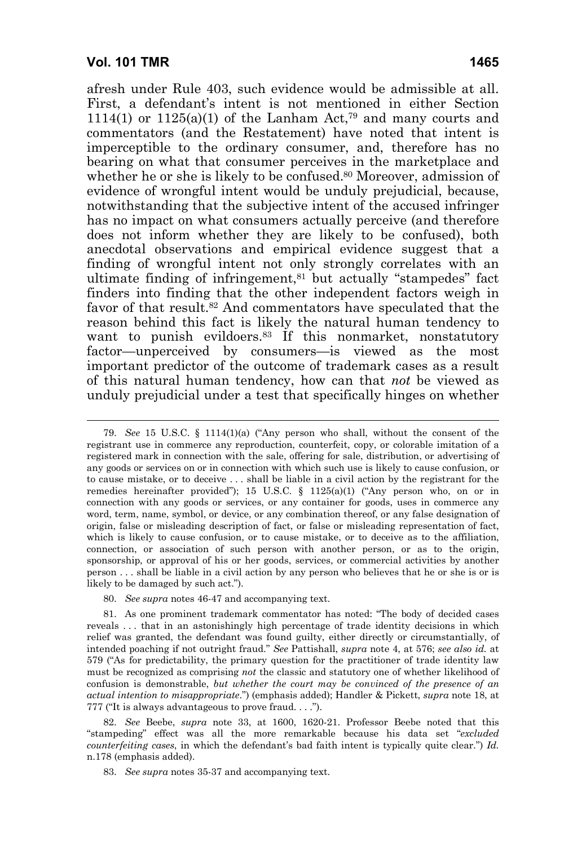afresh under Rule 403, such evidence would be admissible at all. First, a defendant's intent is not mentioned in either Section 1114(1) or 1125(a)(1) of the Lanham Act,<sup>79</sup> and many courts and commentators (and the Restatement) have noted that intent is imperceptible to the ordinary consumer, and, therefore has no bearing on what that consumer perceives in the marketplace and whether he or she is likely to be confused.<sup>80</sup> Moreover, admission of evidence of wrongful intent would be unduly prejudicial, because, notwithstanding that the subjective intent of the accused infringer has no impact on what consumers actually perceive (and therefore does not inform whether they are likely to be confused), both anecdotal observations and empirical evidence suggest that a finding of wrongful intent not only strongly correlates with an ultimate finding of infringement,<sup>81</sup> but actually "stampedes" fact finders into finding that the other independent factors weigh in favor of that result.<sup>82</sup> And commentators have speculated that the reason behind this fact is likely the natural human tendency to want to punish evildoers.<sup>83</sup> If this nonmarket, nonstatutory factor—unperceived by consumers—is viewed as the most important predictor of the outcome of trademark cases as a result of this natural human tendency, how can that *not* be viewed as unduly prejudicial under a test that specifically hinges on whether

 <sup>79.</sup> *See* 15 U.S.C. § 1114(1)(a) ("Any person who shall, without the consent of the registrant use in commerce any reproduction, counterfeit, copy, or colorable imitation of a registered mark in connection with the sale, offering for sale, distribution, or advertising of any goods or services on or in connection with which such use is likely to cause confusion, or to cause mistake, or to deceive . . . shall be liable in a civil action by the registrant for the remedies hereinafter provided"); 15 U.S.C. § 1125(a)(1) ("Any person who, on or in connection with any goods or services, or any container for goods, uses in commerce any word, term, name, symbol, or device, or any combination thereof, or any false designation of origin, false or misleading description of fact, or false or misleading representation of fact, which is likely to cause confusion, or to cause mistake, or to deceive as to the affiliation, connection, or association of such person with another person, or as to the origin, sponsorship, or approval of his or her goods, services, or commercial activities by another person . . . shall be liable in a civil action by any person who believes that he or she is or is likely to be damaged by such act.").

 <sup>80.</sup> *See supra* notes 46-47 and accompanying text.

 <sup>81.</sup> As one prominent trademark commentator has noted: "The body of decided cases reveals . . . that in an astonishingly high percentage of trade identity decisions in which relief was granted, the defendant was found guilty, either directly or circumstantially, of intended poaching if not outright fraud." *See* Pattishall, *supra* note 4, at 576; *see also id.* at 579 ("As for predictability, the primary question for the practitioner of trade identity law must be recognized as comprising *not* the classic and statutory one of whether likelihood of confusion is demonstrable, *but whether the court may be convinced of the presence of an actual intention to misappropriate*.") (emphasis added); Handler & Pickett, *supra* note 18, at 777 ("It is always advantageous to prove fraud. . . .").

 <sup>82.</sup> *See* Beebe, *supra* note 33, at 1600, 1620-21. Professor Beebe noted that this "stampeding" effect was all the more remarkable because his data set "*excluded counterfeiting cases*, in which the defendant's bad faith intent is typically quite clear.") *Id.* n.178 (emphasis added).

 <sup>83.</sup> *See supra* notes 35-37 and accompanying text.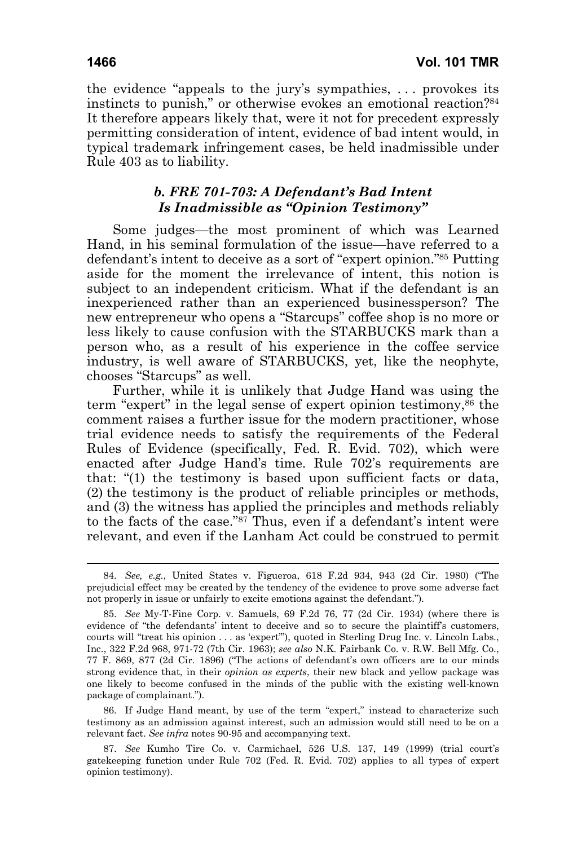the evidence "appeals to the jury's sympathies, . . . provokes its instincts to punish," or otherwise evokes an emotional reaction?84 It therefore appears likely that, were it not for precedent expressly permitting consideration of intent, evidence of bad intent would, in typical trademark infringement cases, be held inadmissible under Rule 403 as to liability.

# *b. FRE 701-703: A Defendant's Bad Intent Is Inadmissible as "Opinion Testimony"*

Some judges—the most prominent of which was Learned Hand, in his seminal formulation of the issue—have referred to a defendant's intent to deceive as a sort of "expert opinion."85 Putting aside for the moment the irrelevance of intent, this notion is subject to an independent criticism. What if the defendant is an inexperienced rather than an experienced businessperson? The new entrepreneur who opens a "Starcups" coffee shop is no more or less likely to cause confusion with the STARBUCKS mark than a person who, as a result of his experience in the coffee service industry, is well aware of STARBUCKS, yet, like the neophyte, chooses "Starcups" as well.

Further, while it is unlikely that Judge Hand was using the term "expert" in the legal sense of expert opinion testimony,86 the comment raises a further issue for the modern practitioner, whose trial evidence needs to satisfy the requirements of the Federal Rules of Evidence (specifically, Fed. R. Evid. 702), which were enacted after Judge Hand's time. Rule 702's requirements are that: "(1) the testimony is based upon sufficient facts or data, (2) the testimony is the product of reliable principles or methods, and (3) the witness has applied the principles and methods reliably to the facts of the case."87 Thus, even if a defendant's intent were relevant, and even if the Lanham Act could be construed to permit

 86. If Judge Hand meant, by use of the term "expert," instead to characterize such testimony as an admission against interest, such an admission would still need to be on a relevant fact. *See infra* notes 90-95 and accompanying text.

 87. *See* Kumho Tire Co. v. Carmichael, 526 U.S. 137, 149 (1999) (trial court's gatekeeping function under Rule 702 (Fed. R. Evid. 702) applies to all types of expert opinion testimony).

 <sup>84.</sup> *See, e.g.*, United States v. Figueroa, 618 F.2d 934, 943 (2d Cir. 1980) ("The prejudicial effect may be created by the tendency of the evidence to prove some adverse fact not properly in issue or unfairly to excite emotions against the defendant.").

 <sup>85.</sup> *See* My-T-Fine Corp. v. Samuels, 69 F.2d 76, 77 (2d Cir. 1934) (where there is evidence of "the defendants' intent to deceive and so to secure the plaintiff's customers, courts will "treat his opinion . . . as 'expert'"), quoted in Sterling Drug Inc. v. Lincoln Labs., Inc., 322 F.2d 968, 971-72 (7th Cir. 1963); *see also* N.K. Fairbank Co. v. R.W. Bell Mfg. Co., 77 F. 869, 877 (2d Cir. 1896) ("The actions of defendant's own officers are to our minds strong evidence that, in their *opinion as experts*, their new black and yellow package was one likely to become confused in the minds of the public with the existing well-known package of complainant.").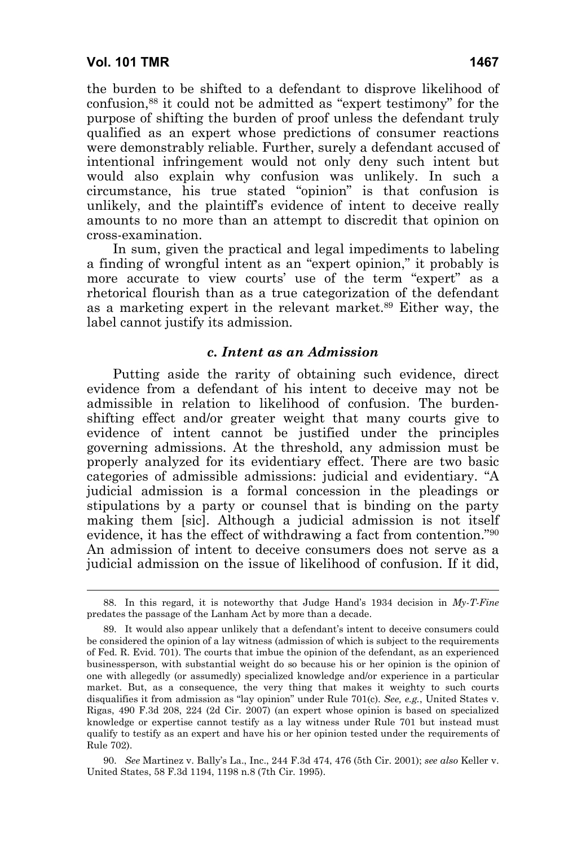the burden to be shifted to a defendant to disprove likelihood of confusion,88 it could not be admitted as "expert testimony" for the purpose of shifting the burden of proof unless the defendant truly qualified as an expert whose predictions of consumer reactions were demonstrably reliable. Further, surely a defendant accused of intentional infringement would not only deny such intent but would also explain why confusion was unlikely. In such a circumstance, his true stated "opinion" is that confusion is unlikely, and the plaintiff's evidence of intent to deceive really amounts to no more than an attempt to discredit that opinion on cross-examination.

In sum, given the practical and legal impediments to labeling a finding of wrongful intent as an "expert opinion," it probably is more accurate to view courts' use of the term "expert" as a rhetorical flourish than as a true categorization of the defendant as a marketing expert in the relevant market.89 Either way, the label cannot justify its admission.

#### *c. Intent as an Admission*

Putting aside the rarity of obtaining such evidence, direct evidence from a defendant of his intent to deceive may not be admissible in relation to likelihood of confusion. The burdenshifting effect and/or greater weight that many courts give to evidence of intent cannot be justified under the principles governing admissions. At the threshold, any admission must be properly analyzed for its evidentiary effect. There are two basic categories of admissible admissions: judicial and evidentiary. "A judicial admission is a formal concession in the pleadings or stipulations by a party or counsel that is binding on the party making them [sic]. Although a judicial admission is not itself evidence, it has the effect of withdrawing a fact from contention."90 An admission of intent to deceive consumers does not serve as a judicial admission on the issue of likelihood of confusion. If it did,

 90. *See* Martinez v. Bally's La., Inc., 244 F.3d 474, 476 (5th Cir. 2001); *see also* Keller v. United States, 58 F.3d 1194, 1198 n.8 (7th Cir. 1995).

 <sup>88.</sup> In this regard, it is noteworthy that Judge Hand's 1934 decision in *My-T-Fine* predates the passage of the Lanham Act by more than a decade.

 <sup>89.</sup> It would also appear unlikely that a defendant's intent to deceive consumers could be considered the opinion of a lay witness (admission of which is subject to the requirements of Fed. R. Evid. 701). The courts that imbue the opinion of the defendant, as an experienced businessperson, with substantial weight do so because his or her opinion is the opinion of one with allegedly (or assumedly) specialized knowledge and/or experience in a particular market. But, as a consequence, the very thing that makes it weighty to such courts disqualifies it from admission as "lay opinion" under Rule 701(c). *See, e.g.*, United States v. Rigas, 490 F.3d 208, 224 (2d Cir. 2007) (an expert whose opinion is based on specialized knowledge or expertise cannot testify as a lay witness under Rule 701 but instead must qualify to testify as an expert and have his or her opinion tested under the requirements of Rule 702).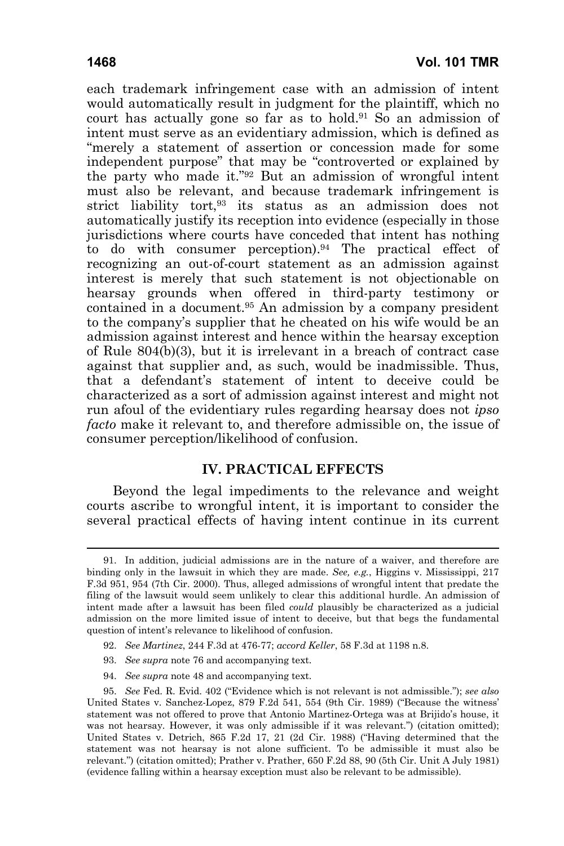each trademark infringement case with an admission of intent would automatically result in judgment for the plaintiff, which no court has actually gone so far as to hold.91 So an admission of intent must serve as an evidentiary admission, which is defined as "merely a statement of assertion or concession made for some independent purpose" that may be "controverted or explained by the party who made it."92 But an admission of wrongful intent must also be relevant, and because trademark infringement is strict liability tort,<sup>93</sup> its status as an admission does not automatically justify its reception into evidence (especially in those jurisdictions where courts have conceded that intent has nothing to do with consumer perception).94 The practical effect of recognizing an out-of-court statement as an admission against interest is merely that such statement is not objectionable on hearsay grounds when offered in third-party testimony or contained in a document.95 An admission by a company president to the company's supplier that he cheated on his wife would be an admission against interest and hence within the hearsay exception of Rule 804(b)(3), but it is irrelevant in a breach of contract case against that supplier and, as such, would be inadmissible. Thus, that a defendant's statement of intent to deceive could be characterized as a sort of admission against interest and might not run afoul of the evidentiary rules regarding hearsay does not *ipso facto* make it relevant to, and therefore admissible on, the issue of consumer perception/likelihood of confusion.

#### **IV. PRACTICAL EFFECTS**

Beyond the legal impediments to the relevance and weight courts ascribe to wrongful intent, it is important to consider the several practical effects of having intent continue in its current

- 92. *See Martinez*, 244 F.3d at 476-77; *accord Keller*, 58 F.3d at 1198 n.8.
- 93. *See supra* note 76 and accompanying text.
- 94. *See supra* note 48 and accompanying text.

 <sup>91.</sup> In addition, judicial admissions are in the nature of a waiver, and therefore are binding only in the lawsuit in which they are made. *See, e.g.*, Higgins v. Mississippi, 217 F.3d 951, 954 (7th Cir. 2000). Thus, alleged admissions of wrongful intent that predate the filing of the lawsuit would seem unlikely to clear this additional hurdle. An admission of intent made after a lawsuit has been filed *could* plausibly be characterized as a judicial admission on the more limited issue of intent to deceive, but that begs the fundamental question of intent's relevance to likelihood of confusion.

 <sup>95.</sup> *See* Fed. R. Evid. 402 ("Evidence which is not relevant is not admissible."); *see also* United States v. Sanchez-Lopez, 879 F.2d 541, 554 (9th Cir. 1989) ("Because the witness' statement was not offered to prove that Antonio Martinez-Ortega was at Brijido's house, it was not hearsay. However, it was only admissible if it was relevant.") (citation omitted); United States v. Detrich, 865 F.2d 17, 21 (2d Cir. 1988) ("Having determined that the statement was not hearsay is not alone sufficient. To be admissible it must also be relevant.") (citation omitted); Prather v. Prather, 650 F.2d 88, 90 (5th Cir. Unit A July 1981) (evidence falling within a hearsay exception must also be relevant to be admissible).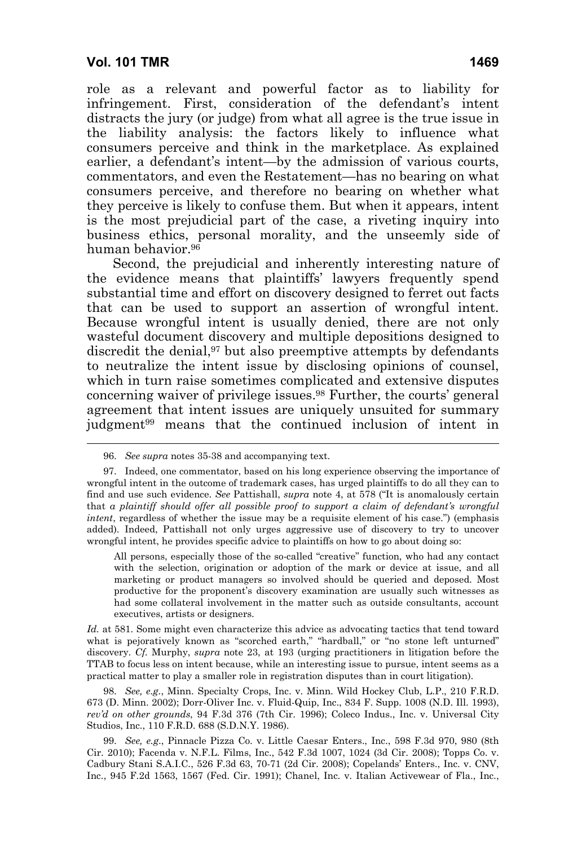role as a relevant and powerful factor as to liability for infringement. First, consideration of the defendant's intent distracts the jury (or judge) from what all agree is the true issue in the liability analysis: the factors likely to influence what consumers perceive and think in the marketplace. As explained earlier, a defendant's intent—by the admission of various courts, commentators, and even the Restatement—has no bearing on what consumers perceive, and therefore no bearing on whether what they perceive is likely to confuse them. But when it appears, intent is the most prejudicial part of the case, a riveting inquiry into business ethics, personal morality, and the unseemly side of human behavior.96

Second, the prejudicial and inherently interesting nature of the evidence means that plaintiffs' lawyers frequently spend substantial time and effort on discovery designed to ferret out facts that can be used to support an assertion of wrongful intent. Because wrongful intent is usually denied, there are not only wasteful document discovery and multiple depositions designed to discredit the denial,<sup>97</sup> but also preemptive attempts by defendants to neutralize the intent issue by disclosing opinions of counsel, which in turn raise sometimes complicated and extensive disputes concerning waiver of privilege issues.98 Further, the courts' general agreement that intent issues are uniquely unsuited for summary judgment99 means that the continued inclusion of intent in

All persons, especially those of the so-called "creative" function, who had any contact with the selection, origination or adoption of the mark or device at issue, and all marketing or product managers so involved should be queried and deposed. Most productive for the proponent's discovery examination are usually such witnesses as had some collateral involvement in the matter such as outside consultants, account executives, artists or designers.

*Id.* at 581. Some might even characterize this advice as advocating tactics that tend toward what is pejoratively known as "scorched earth," "hardball," or "no stone left unturned" discovery. *Cf.* Murphy, *supra* note 23, at 193 (urging practitioners in litigation before the TTAB to focus less on intent because, while an interesting issue to pursue, intent seems as a practical matter to play a smaller role in registration disputes than in court litigation).

 98. *See, e.g.*, Minn. Specialty Crops, Inc. v. Minn. Wild Hockey Club, L.P., 210 F.R.D. 673 (D. Minn. 2002); Dorr-Oliver Inc. v. Fluid-Quip, Inc., 834 F. Supp. 1008 (N.D. Ill. 1993), *rev'd on other grounds*, 94 F.3d 376 (7th Cir. 1996); Coleco Indus., Inc. v. Universal City Studios, Inc., 110 F.R.D. 688 (S.D.N.Y. 1986).

 99. *See, e.g*., Pinnacle Pizza Co. v. Little Caesar Enters., Inc., 598 F.3d 970, 980 (8th Cir. 2010); Facenda v. N.F.L. Films, Inc., 542 F.3d 1007, 1024 (3d Cir. 2008); Topps Co. v. Cadbury Stani S.A.I.C., 526 F.3d 63, 70-71 (2d Cir. 2008); Copelands' Enters., Inc. v. CNV, Inc., 945 F.2d 1563, 1567 (Fed. Cir. 1991); Chanel, Inc. v. Italian Activewear of Fla., Inc.,

 <sup>96.</sup> *See supra* notes 35-38 and accompanying text.

 <sup>97.</sup> Indeed, one commentator, based on his long experience observing the importance of wrongful intent in the outcome of trademark cases, has urged plaintiffs to do all they can to find and use such evidence. *See* Pattishall, *supra* note 4, at 578 ("It is anomalously certain that *a plaintiff should offer all possible proof to support a claim of defendant's wrongful intent*, regardless of whether the issue may be a requisite element of his case.") (emphasis added). Indeed, Pattishall not only urges aggressive use of discovery to try to uncover wrongful intent, he provides specific advice to plaintiffs on how to go about doing so: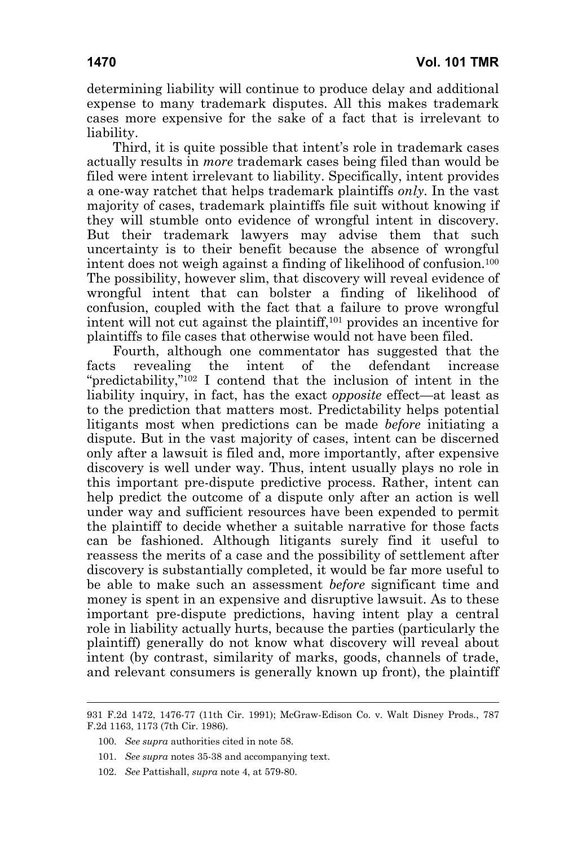Third, it is quite possible that intent's role in trademark cases actually results in *more* trademark cases being filed than would be filed were intent irrelevant to liability. Specifically, intent provides a one-way ratchet that helps trademark plaintiffs *only*. In the vast majority of cases, trademark plaintiffs file suit without knowing if they will stumble onto evidence of wrongful intent in discovery. But their trademark lawyers may advise them that such uncertainty is to their benefit because the absence of wrongful intent does not weigh against a finding of likelihood of confusion.100 The possibility, however slim, that discovery will reveal evidence of wrongful intent that can bolster a finding of likelihood of confusion, coupled with the fact that a failure to prove wrongful intent will not cut against the plaintiff,101 provides an incentive for plaintiffs to file cases that otherwise would not have been filed.

Fourth, although one commentator has suggested that the facts revealing the intent of the defendant increase "predictability,"102 I contend that the inclusion of intent in the liability inquiry, in fact, has the exact *opposite* effect—at least as to the prediction that matters most. Predictability helps potential litigants most when predictions can be made *before* initiating a dispute. But in the vast majority of cases, intent can be discerned only after a lawsuit is filed and, more importantly, after expensive discovery is well under way. Thus, intent usually plays no role in this important pre-dispute predictive process. Rather, intent can help predict the outcome of a dispute only after an action is well under way and sufficient resources have been expended to permit the plaintiff to decide whether a suitable narrative for those facts can be fashioned. Although litigants surely find it useful to reassess the merits of a case and the possibility of settlement after discovery is substantially completed, it would be far more useful to be able to make such an assessment *before* significant time and money is spent in an expensive and disruptive lawsuit. As to these important pre-dispute predictions, having intent play a central role in liability actually hurts, because the parties (particularly the plaintiff) generally do not know what discovery will reveal about intent (by contrast, similarity of marks, goods, channels of trade, and relevant consumers is generally known up front), the plaintiff

 $\overline{a}$ 

<sup>931</sup> F.2d 1472, 1476-77 (11th Cir. 1991); McGraw-Edison Co. v. Walt Disney Prods., 787 F.2d 1163, 1173 (7th Cir. 1986).

 <sup>100.</sup> *See supra* authorities cited in note 58.

 <sup>101.</sup> *See supra* notes 35-38 and accompanying text.

 <sup>102.</sup> *See* Pattishall, *supra* note 4, at 579-80.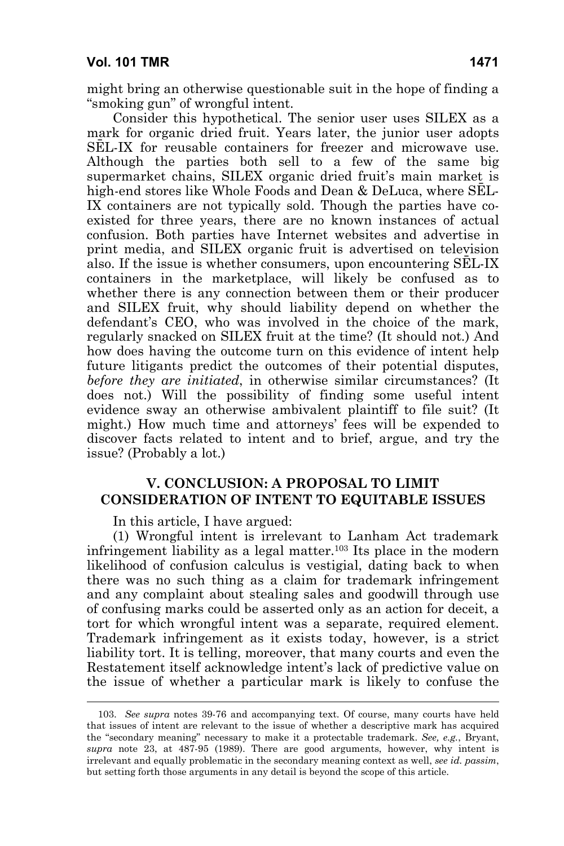might bring an otherwise questionable suit in the hope of finding a "smoking gun" of wrongful intent.

Consider this hypothetical. The senior user uses SILEX as a mark for organic dried fruit. Years later, the junior user adopts SĒL-IX for reusable containers for freezer and microwave use. Although the parties both sell to a few of the same big supermarket chains, SILEX organic dried fruit's main market is high-end stores like Whole Foods and Dean & DeLuca, where SEL-IX containers are not typically sold. Though the parties have coexisted for three years, there are no known instances of actual confusion. Both parties have Internet websites and advertise in print media, and SILEX organic fruit is advertised on television also. If the issue is whether consumers, upon encountering SĒL-IX containers in the marketplace, will likely be confused as to whether there is any connection between them or their producer and SILEX fruit, why should liability depend on whether the defendant's CEO, who was involved in the choice of the mark, regularly snacked on SILEX fruit at the time? (It should not.) And how does having the outcome turn on this evidence of intent help future litigants predict the outcomes of their potential disputes, *before they are initiated*, in otherwise similar circumstances? (It does not.) Will the possibility of finding some useful intent evidence sway an otherwise ambivalent plaintiff to file suit? (It might.) How much time and attorneys' fees will be expended to discover facts related to intent and to brief, argue, and try the issue? (Probably a lot.)

#### **V. CONCLUSION: A PROPOSAL TO LIMIT CONSIDERATION OF INTENT TO EQUITABLE ISSUES**

In this article, I have argued:

(1) Wrongful intent is irrelevant to Lanham Act trademark infringement liability as a legal matter.103 Its place in the modern likelihood of confusion calculus is vestigial, dating back to when there was no such thing as a claim for trademark infringement and any complaint about stealing sales and goodwill through use of confusing marks could be asserted only as an action for deceit, a tort for which wrongful intent was a separate, required element. Trademark infringement as it exists today, however, is a strict liability tort. It is telling, moreover, that many courts and even the Restatement itself acknowledge intent's lack of predictive value on the issue of whether a particular mark is likely to confuse the

 <sup>103.</sup> *See supra* notes 39-76 and accompanying text. Of course, many courts have held that issues of intent are relevant to the issue of whether a descriptive mark has acquired the "secondary meaning" necessary to make it a protectable trademark. *See, e.g.*, Bryant, *supra* note 23, at 487-95 (1989). There are good arguments, however, why intent is irrelevant and equally problematic in the secondary meaning context as well, *see id. passim*, but setting forth those arguments in any detail is beyond the scope of this article.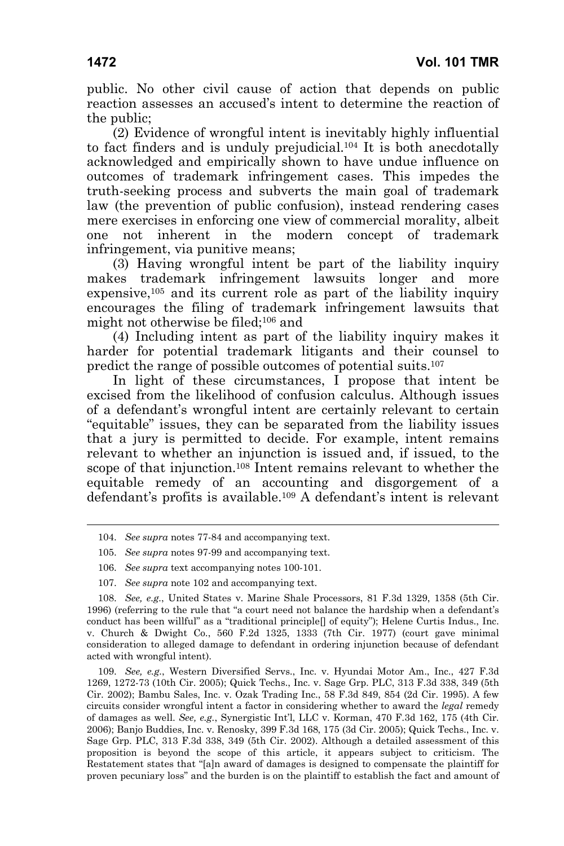public. No other civil cause of action that depends on public reaction assesses an accused's intent to determine the reaction of the public;

(2) Evidence of wrongful intent is inevitably highly influential to fact finders and is unduly prejudicial.<sup>104</sup> It is both anecdotally acknowledged and empirically shown to have undue influence on outcomes of trademark infringement cases. This impedes the truth-seeking process and subverts the main goal of trademark law (the prevention of public confusion), instead rendering cases mere exercises in enforcing one view of commercial morality, albeit one not inherent in the modern concept of trademark infringement, via punitive means;

(3) Having wrongful intent be part of the liability inquiry makes trademark infringement lawsuits longer and more expensive,105 and its current role as part of the liability inquiry encourages the filing of trademark infringement lawsuits that might not otherwise be filed;106 and

(4) Including intent as part of the liability inquiry makes it harder for potential trademark litigants and their counsel to predict the range of possible outcomes of potential suits.107

In light of these circumstances, I propose that intent be excised from the likelihood of confusion calculus. Although issues of a defendant's wrongful intent are certainly relevant to certain "equitable" issues, they can be separated from the liability issues that a jury is permitted to decide. For example, intent remains relevant to whether an injunction is issued and, if issued, to the scope of that injunction.<sup>108</sup> Intent remains relevant to whether the equitable remedy of an accounting and disgorgement of a defendant's profits is available.109 A defendant's intent is relevant

107. *See supra* note 102 and accompanying text.

 <sup>104.</sup> *See supra* notes 77-84 and accompanying text.

 <sup>105.</sup> *See supra* notes 97-99 and accompanying text.

 <sup>106.</sup> *See supra* text accompanying notes 100-101.

 <sup>108.</sup> *See, e.g.*, United States v. Marine Shale Processors, 81 F.3d 1329, 1358 (5th Cir. 1996) (referring to the rule that "a court need not balance the hardship when a defendant's conduct has been willful" as a "traditional principle[] of equity"); Helene Curtis Indus., Inc. v. Church & Dwight Co., 560 F.2d 1325, 1333 (7th Cir. 1977) (court gave minimal consideration to alleged damage to defendant in ordering injunction because of defendant acted with wrongful intent).

 <sup>109.</sup> *See, e.g.*, Western Diversified Servs., Inc. v. Hyundai Motor Am., Inc., 427 F.3d 1269, 1272-73 (10th Cir. 2005); Quick Techs., Inc. v. Sage Grp. PLC, 313 F.3d 338, 349 (5th Cir. 2002); Bambu Sales, Inc. v. Ozak Trading Inc., 58 F.3d 849, 854 (2d Cir. 1995). A few circuits consider wrongful intent a factor in considering whether to award the *legal* remedy of damages as well. *See, e.g.*, Synergistic Int'l, LLC v. Korman, 470 F.3d 162, 175 (4th Cir. 2006); Banjo Buddies, Inc. v. Renosky, 399 F.3d 168, 175 (3d Cir. 2005); Quick Techs., Inc. v. Sage Grp. PLC, 313 F.3d 338, 349 (5th Cir. 2002). Although a detailed assessment of this proposition is beyond the scope of this article, it appears subject to criticism. The Restatement states that "[a]n award of damages is designed to compensate the plaintiff for proven pecuniary loss" and the burden is on the plaintiff to establish the fact and amount of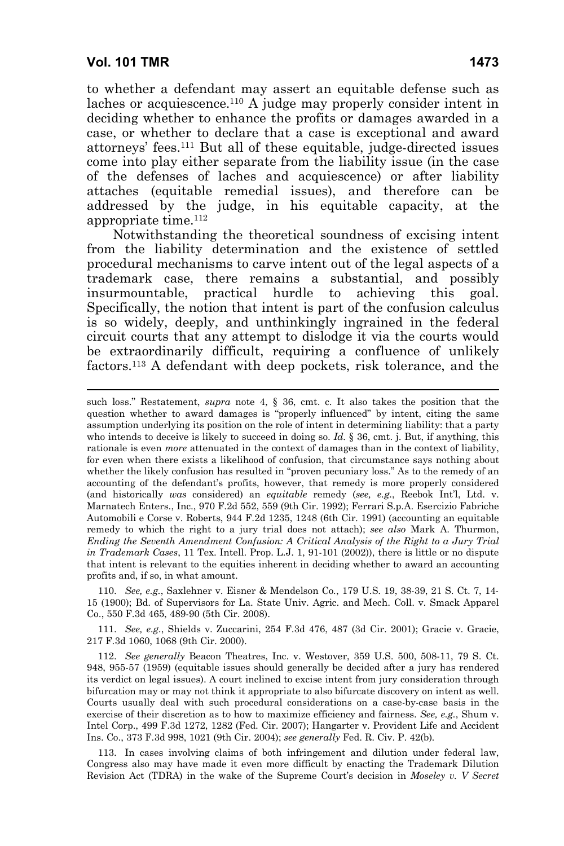-

to whether a defendant may assert an equitable defense such as laches or acquiescence.110 A judge may properly consider intent in deciding whether to enhance the profits or damages awarded in a case, or whether to declare that a case is exceptional and award attorneys' fees.111 But all of these equitable, judge-directed issues come into play either separate from the liability issue (in the case of the defenses of laches and acquiescence) or after liability attaches (equitable remedial issues), and therefore can be addressed by the judge, in his equitable capacity, at the appropriate time.112

Notwithstanding the theoretical soundness of excising intent from the liability determination and the existence of settled procedural mechanisms to carve intent out of the legal aspects of a trademark case, there remains a substantial, and possibly insurmountable, practical hurdle to achieving this goal. Specifically, the notion that intent is part of the confusion calculus is so widely, deeply, and unthinkingly ingrained in the federal circuit courts that any attempt to dislodge it via the courts would be extraordinarily difficult, requiring a confluence of unlikely factors.113 A defendant with deep pockets, risk tolerance, and the

 110. *See, e.g.*, Saxlehner v. Eisner & Mendelson Co*.*, 179 U.S. 19, 38-39, 21 S. Ct. 7, 14- 15 (1900); Bd. of Supervisors for La. State Univ. Agric. and Mech. Coll. v. Smack Apparel Co., 550 F.3d 465, 489-90 (5th Cir. 2008).

 111. *See, e.g.*, Shields v. Zuccarini, 254 F.3d 476, 487 (3d Cir. 2001); Gracie v. Gracie, 217 F.3d 1060, 1068 (9th Cir. 2000).

 112. *See generally* Beacon Theatres, Inc. v. Westover, 359 U.S. 500, 508-11, 79 S. Ct. 948, 955-57 (1959) (equitable issues should generally be decided after a jury has rendered its verdict on legal issues). A court inclined to excise intent from jury consideration through bifurcation may or may not think it appropriate to also bifurcate discovery on intent as well. Courts usually deal with such procedural considerations on a case-by-case basis in the exercise of their discretion as to how to maximize efficiency and fairness. *See, e.g.*, Shum v. Intel Corp., 499 F.3d 1272, 1282 (Fed. Cir. 2007); Hangarter v. Provident Life and Accident Ins. Co., 373 F.3d 998, 1021 (9th Cir. 2004); *see generally* Fed. R. Civ. P. 42(b)*.*

 113. In cases involving claims of both infringement and dilution under federal law, Congress also may have made it even more difficult by enacting the Trademark Dilution Revision Act (TDRA) in the wake of the Supreme Court's decision in *Moseley v. V Secret* 

such loss." Restatement, *supra* note 4, § 36, cmt. c. It also takes the position that the question whether to award damages is "properly influenced" by intent, citing the same assumption underlying its position on the role of intent in determining liability: that a party who intends to deceive is likely to succeed in doing so. *Id.* § 36, cmt. j. But, if anything, this rationale is even *more* attenuated in the context of damages than in the context of liability, for even when there exists a likelihood of confusion, that circumstance says nothing about whether the likely confusion has resulted in "proven pecuniary loss." As to the remedy of an accounting of the defendant's profits, however, that remedy is more properly considered (and historically *was* considered) an *equitable* remedy (*see, e.g.*, Reebok Int'l, Ltd. v. Marnatech Enters., Inc., 970 F.2d 552, 559 (9th Cir. 1992); Ferrari S.p.A. Esercizio Fabriche Automobili e Corse v. Roberts, 944 F.2d 1235, 1248 (6th Cir. 1991) (accounting an equitable remedy to which the right to a jury trial does not attach); *see also* Mark A. Thurmon, *Ending the Seventh Amendment Confusion: A Critical Analysis of the Right to a Jury Trial in Trademark Cases*, 11 Tex. Intell. Prop. L.J. 1, 91-101 (2002)), there is little or no dispute that intent is relevant to the equities inherent in deciding whether to award an accounting profits and, if so, in what amount.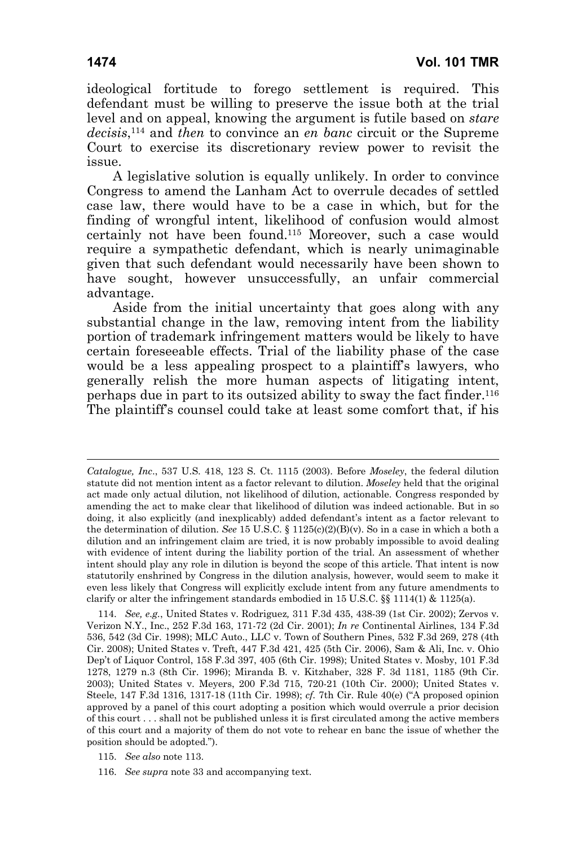A legislative solution is equally unlikely. In order to convince Congress to amend the Lanham Act to overrule decades of settled case law, there would have to be a case in which, but for the finding of wrongful intent, likelihood of confusion would almost certainly not have been found.115 Moreover, such a case would require a sympathetic defendant, which is nearly unimaginable given that such defendant would necessarily have been shown to have sought, however unsuccessfully, an unfair commercial advantage.

Aside from the initial uncertainty that goes along with any substantial change in the law, removing intent from the liability portion of trademark infringement matters would be likely to have certain foreseeable effects. Trial of the liability phase of the case would be a less appealing prospect to a plaintiff's lawyers, who generally relish the more human aspects of litigating intent, perhaps due in part to its outsized ability to sway the fact finder.116 The plaintiff's counsel could take at least some comfort that, if his

-

*Catalogue, Inc*., 537 U.S. 418, 123 S. Ct. 1115 (2003). Before *Moseley*, the federal dilution statute did not mention intent as a factor relevant to dilution. *Moseley* held that the original act made only actual dilution, not likelihood of dilution, actionable. Congress responded by amending the act to make clear that likelihood of dilution was indeed actionable. But in so doing, it also explicitly (and inexplicably) added defendant's intent as a factor relevant to the determination of dilution. *See* 15 U.S.C. § 1125(c)(2)(B)(v). So in a case in which a both a dilution and an infringement claim are tried, it is now probably impossible to avoid dealing with evidence of intent during the liability portion of the trial. An assessment of whether intent should play any role in dilution is beyond the scope of this article. That intent is now statutorily enshrined by Congress in the dilution analysis, however, would seem to make it even less likely that Congress will explicitly exclude intent from any future amendments to clarify or alter the infringement standards embodied in 15 U.S.C.  $\S$  1114(1) & 1125(a).

 <sup>114.</sup> *See, e.g.*, United States v. Rodriguez*,* 311 F.3d 435, 438-39 (1st Cir. 2002); Zervos v. Verizon N.Y., Inc., 252 F.3d 163, 171-72 (2d Cir. 2001); *In re* Continental Airlines, 134 F.3d 536, 542 (3d Cir. 1998); MLC Auto., LLC v. Town of Southern Pines, 532 F.3d 269, 278 (4th Cir. 2008); United States v. Treft, 447 F.3d 421, 425 (5th Cir. 2006), Sam & Ali, Inc. v. Ohio Dep't of Liquor Control, 158 F.3d 397, 405 (6th Cir. 1998); United States v. Mosby, 101 F.3d 1278, 1279 n.3 (8th Cir. 1996); Miranda B. v. Kitzhaber, 328 F. 3d 1181, 1185 (9th Cir. 2003); United States v. Meyers, 200 F.3d 715, 720-21 (10th Cir. 2000); United States v. Steele, 147 F.3d 1316, 1317-18 (11th Cir. 1998); *cf.* 7th Cir. Rule 40(e) ("A proposed opinion approved by a panel of this court adopting a position which would overrule a prior decision of this court . . . shall not be published unless it is first circulated among the active members of this court and a majority of them do not vote to rehear en banc the issue of whether the position should be adopted.").

 <sup>115.</sup> *See also* note 113.

 <sup>116.</sup> *See supra* note 33 and accompanying text.